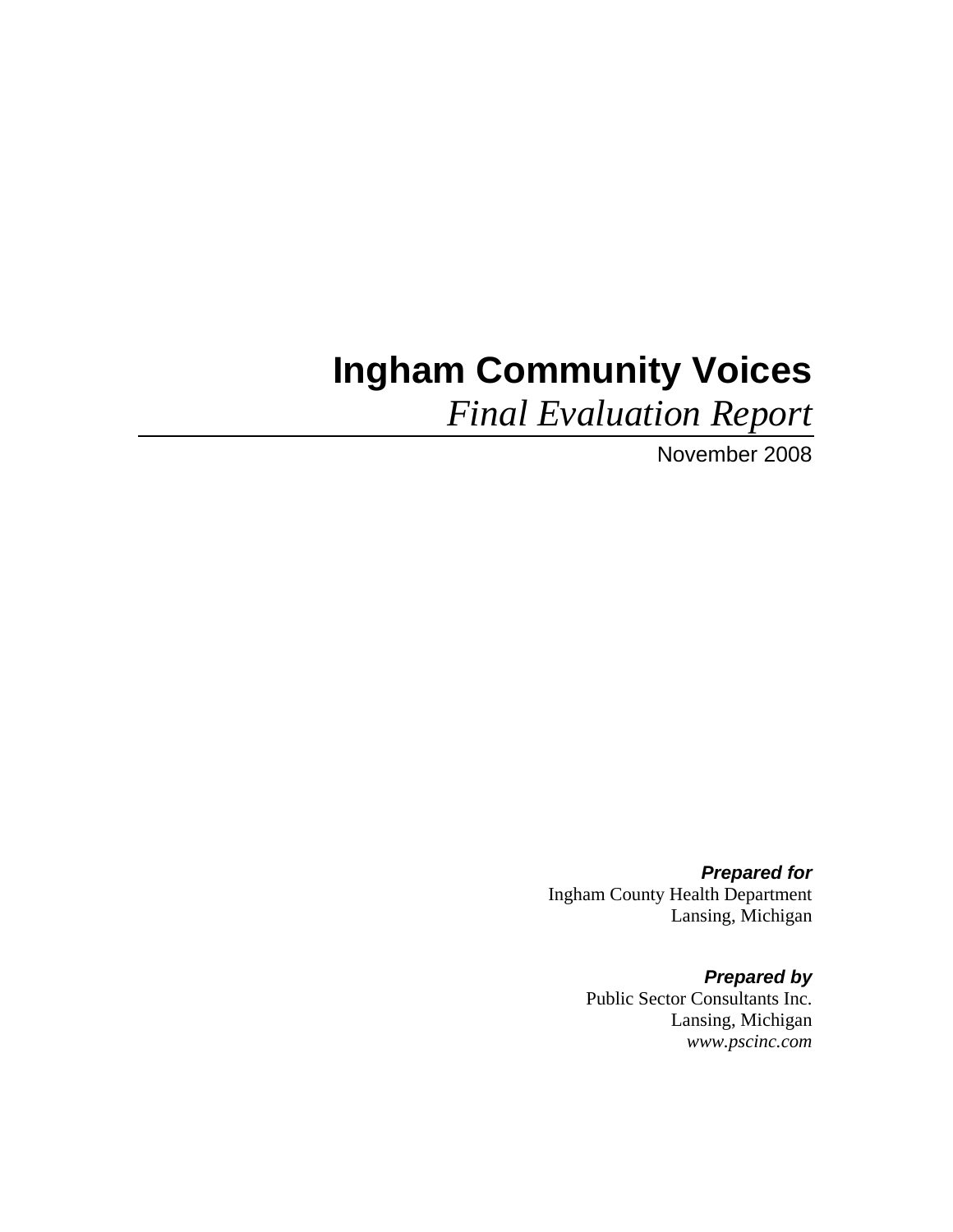# **Ingham Community Voices**

*Final Evaluation Report* 

November 2008

*Prepared for*  Ingham County Health Department Lansing, Michigan

> *Prepared by*  Public Sector Consultants Inc. Lansing, Michigan *www.pscinc.com*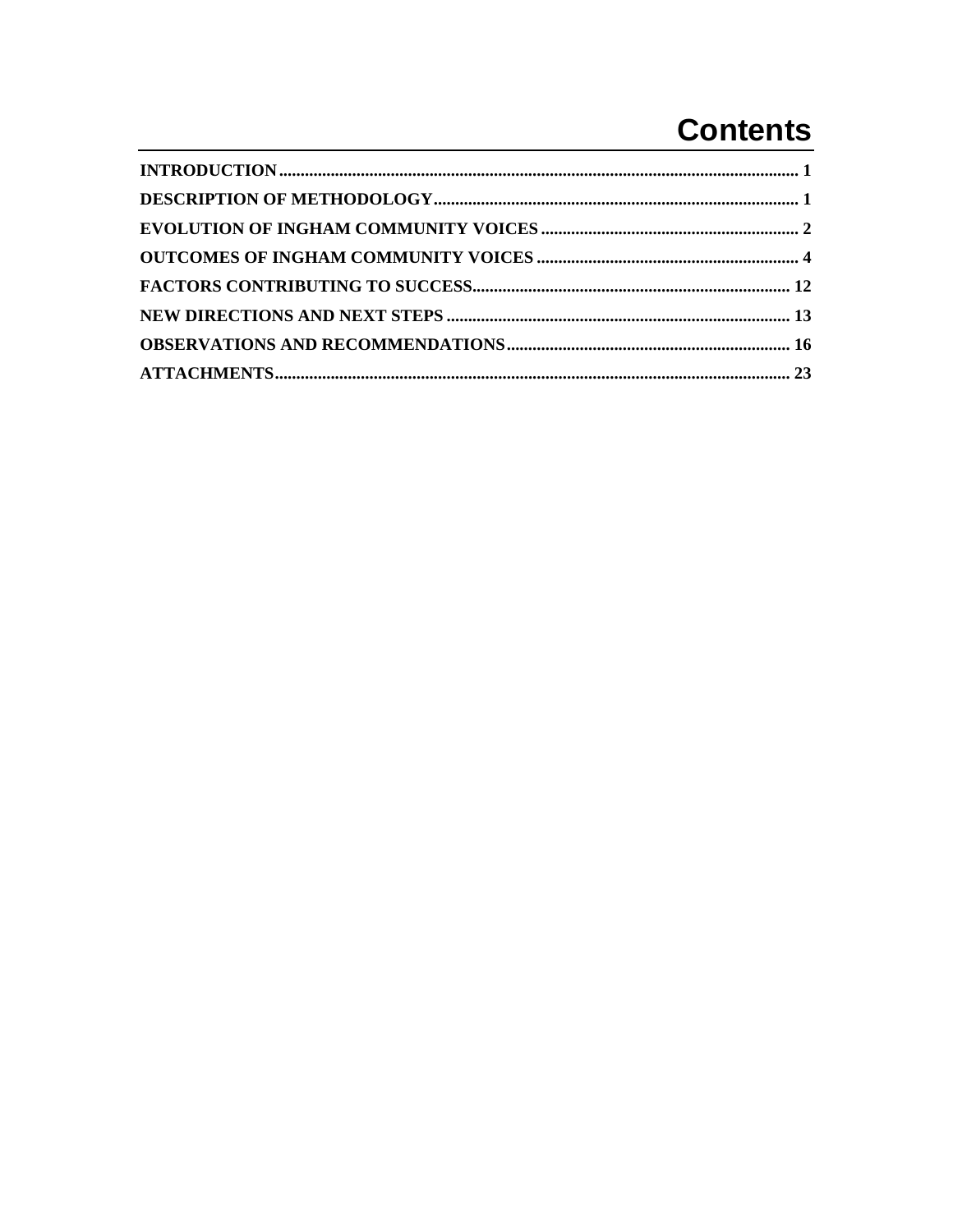# **Contents**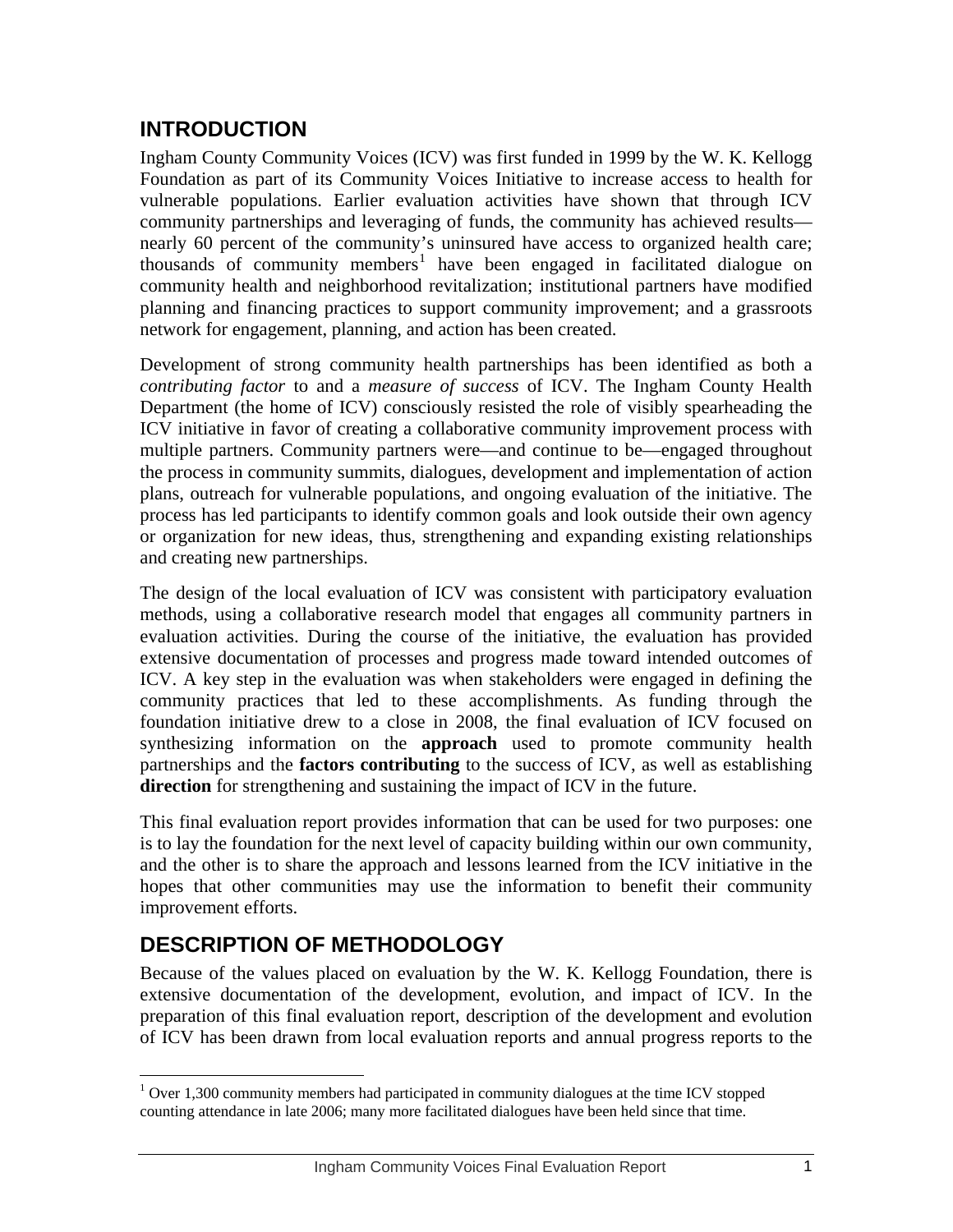## <span id="page-4-0"></span>**INTRODUCTION**

Ingham County Community Voices (ICV) was first funded in 1999 by the W. K. Kellogg Foundation as part of its Community Voices Initiative to increase access to health for vulnerable populations. Earlier evaluation activities have shown that through ICV community partnerships and leveraging of funds, the community has achieved results nearly 60 percent of the community's uninsured have access to organized health care; thousands of community members<sup>[1](#page-4-0)</sup> have been engaged in facilitated dialogue on community health and neighborhood revitalization; institutional partners have modified planning and financing practices to support community improvement; and a grassroots network for engagement, planning, and action has been created.

Development of strong community health partnerships has been identified as both a *contributing factor* to and a *measure of success* of ICV. The Ingham County Health Department (the home of ICV) consciously resisted the role of visibly spearheading the ICV initiative in favor of creating a collaborative community improvement process with multiple partners. Community partners were—and continue to be—engaged throughout the process in community summits, dialogues, development and implementation of action plans, outreach for vulnerable populations, and ongoing evaluation of the initiative. The process has led participants to identify common goals and look outside their own agency or organization for new ideas, thus, strengthening and expanding existing relationships and creating new partnerships.

The design of the local evaluation of ICV was consistent with participatory evaluation methods, using a collaborative research model that engages all community partners in evaluation activities. During the course of the initiative, the evaluation has provided extensive documentation of processes and progress made toward intended outcomes of ICV. A key step in the evaluation was when stakeholders were engaged in defining the community practices that led to these accomplishments. As funding through the foundation initiative drew to a close in 2008, the final evaluation of ICV focused on synthesizing information on the **approach** used to promote community health partnerships and the **factors contributing** to the success of ICV, as well as establishing **direction** for strengthening and sustaining the impact of ICV in the future.

This final evaluation report provides information that can be used for two purposes: one is to lay the foundation for the next level of capacity building within our own community, and the other is to share the approach and lessons learned from the ICV initiative in the hopes that other communities may use the information to benefit their community improvement efforts.

## **DESCRIPTION OF METHODOLOGY**

 $\overline{a}$ 

Because of the values placed on evaluation by the W. K. Kellogg Foundation, there is extensive documentation of the development, evolution, and impact of ICV. In the preparation of this final evaluation report, description of the development and evolution of ICV has been drawn from local evaluation reports and annual progress reports to the

 $1$  Over 1,300 community members had participated in community dialogues at the time ICV stopped counting attendance in late 2006; many more facilitated dialogues have been held since that time.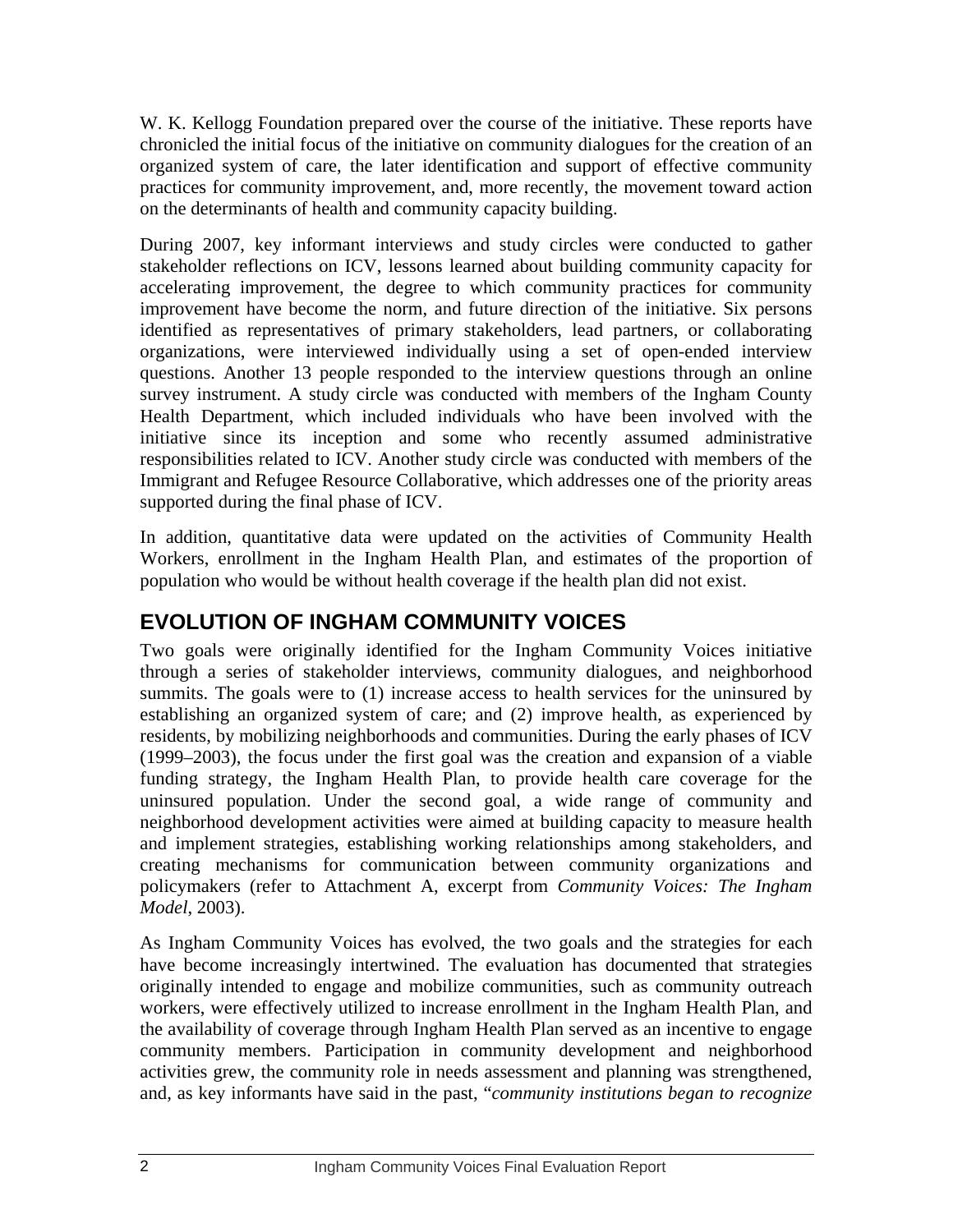<span id="page-5-0"></span>W. K. Kellogg Foundation prepared over the course of the initiative. These reports have chronicled the initial focus of the initiative on community dialogues for the creation of an organized system of care, the later identification and support of effective community practices for community improvement, and, more recently, the movement toward action on the determinants of health and community capacity building.

During 2007, key informant interviews and study circles were conducted to gather stakeholder reflections on ICV, lessons learned about building community capacity for accelerating improvement, the degree to which community practices for community improvement have become the norm, and future direction of the initiative. Six persons identified as representatives of primary stakeholders, lead partners, or collaborating organizations, were interviewed individually using a set of open-ended interview questions. Another 13 people responded to the interview questions through an online survey instrument. A study circle was conducted with members of the Ingham County Health Department, which included individuals who have been involved with the initiative since its inception and some who recently assumed administrative responsibilities related to ICV. Another study circle was conducted with members of the Immigrant and Refugee Resource Collaborative, which addresses one of the priority areas supported during the final phase of ICV.

In addition, quantitative data were updated on the activities of Community Health Workers, enrollment in the Ingham Health Plan, and estimates of the proportion of population who would be without health coverage if the health plan did not exist.

## **EVOLUTION OF INGHAM COMMUNITY VOICES**

Two goals were originally identified for the Ingham Community Voices initiative through a series of stakeholder interviews, community dialogues, and neighborhood summits. The goals were to (1) increase access to health services for the uninsured by establishing an organized system of care; and (2) improve health, as experienced by residents, by mobilizing neighborhoods and communities. During the early phases of ICV (1999–2003), the focus under the first goal was the creation and expansion of a viable funding strategy, the Ingham Health Plan, to provide health care coverage for the uninsured population. Under the second goal, a wide range of community and neighborhood development activities were aimed at building capacity to measure health and implement strategies, establishing working relationships among stakeholders, and creating mechanisms for communication between community organizations and policymakers (refer to Attachment A, excerpt from *Community Voices: The Ingham Model*, 2003).

As Ingham Community Voices has evolved, the two goals and the strategies for each have become increasingly intertwined. The evaluation has documented that strategies originally intended to engage and mobilize communities, such as community outreach workers, were effectively utilized to increase enrollment in the Ingham Health Plan, and the availability of coverage through Ingham Health Plan served as an incentive to engage community members. Participation in community development and neighborhood activities grew, the community role in needs assessment and planning was strengthened, and, as key informants have said in the past, "*community institutions began to recognize*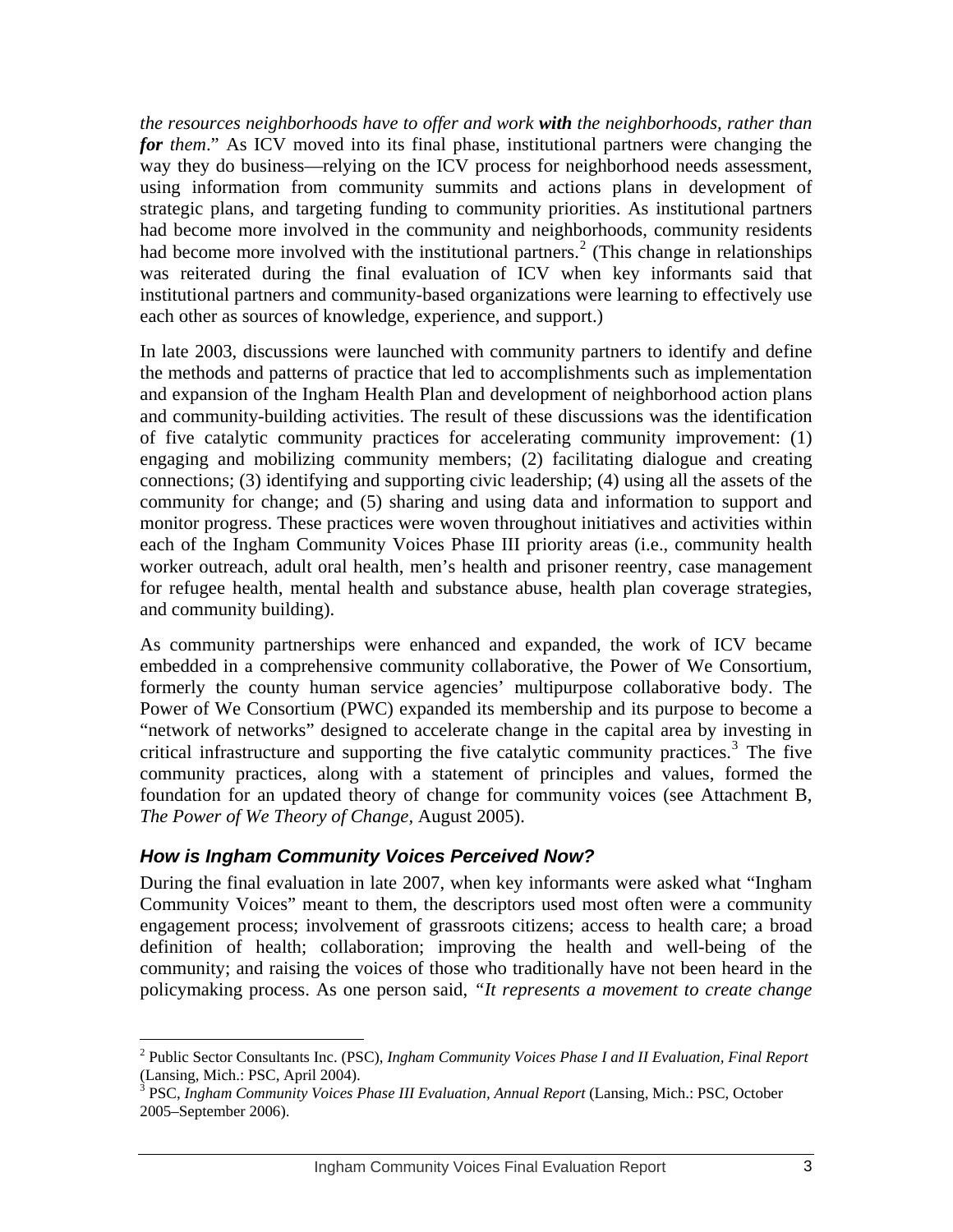<span id="page-6-0"></span>*the resources neighborhoods have to offer and work with the neighborhoods, rather than for them*." As ICV moved into its final phase, institutional partners were changing the way they do business—relying on the ICV process for neighborhood needs assessment, using information from community summits and actions plans in development of strategic plans, and targeting funding to community priorities. As institutional partners had become more involved in the community and neighborhoods, community residents had become more involved with the institutional partners.<sup>[2](#page-6-0)</sup> (This change in relationships was reiterated during the final evaluation of ICV when key informants said that institutional partners and community-based organizations were learning to effectively use each other as sources of knowledge, experience, and support.)

In late 2003, discussions were launched with community partners to identify and define the methods and patterns of practice that led to accomplishments such as implementation and expansion of the Ingham Health Plan and development of neighborhood action plans and community-building activities. The result of these discussions was the identification of five catalytic community practices for accelerating community improvement: (1) engaging and mobilizing community members; (2) facilitating dialogue and creating connections; (3) identifying and supporting civic leadership; (4) using all the assets of the community for change; and (5) sharing and using data and information to support and monitor progress. These practices were woven throughout initiatives and activities within each of the Ingham Community Voices Phase III priority areas (i.e., community health worker outreach, adult oral health, men's health and prisoner reentry, case management for refugee health, mental health and substance abuse, health plan coverage strategies, and community building).

As community partnerships were enhanced and expanded, the work of ICV became embedded in a comprehensive community collaborative, the Power of We Consortium, formerly the county human service agencies' multipurpose collaborative body. The Power of We Consortium (PWC) expanded its membership and its purpose to become a "network of networks" designed to accelerate change in the capital area by investing in critical infrastructure and supporting the five catalytic community practices.[3](#page-6-0) The five community practices, along with a statement of principles and values, formed the foundation for an updated theory of change for community voices (see Attachment B, *The Power of We Theory of Change,* August 2005).

#### *How is Ingham Community Voices Perceived Now?*

 $\overline{a}$ 

During the final evaluation in late 2007, when key informants were asked what "Ingham Community Voices" meant to them, the descriptors used most often were a community engagement process; involvement of grassroots citizens; access to health care; a broad definition of health; collaboration; improving the health and well-being of the community; and raising the voices of those who traditionally have not been heard in the policymaking process. As one person said, *"It represents a movement to create change* 

<sup>2</sup> Public Sector Consultants Inc. (PSC), *Ingham Community Voices Phase I and II Evaluation, Final Report* (Lansing, Mich.: PSC, April 2004).

<sup>&</sup>lt;sup>3</sup> PSC, *Ingham Community Voices Phase III Evaluation, Annual Report* (Lansing, Mich.: PSC, October 2005–September 2006).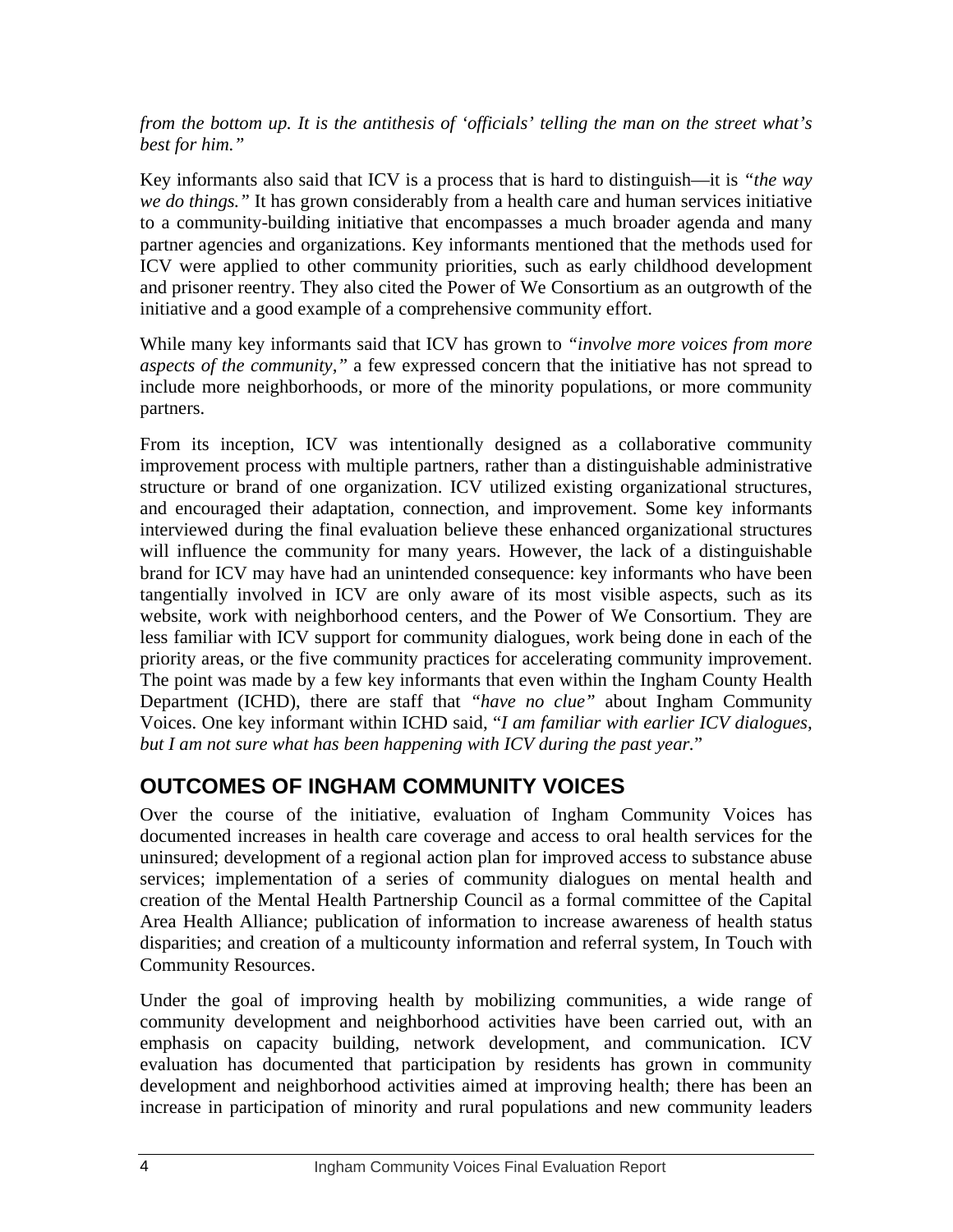#### <span id="page-7-0"></span>*from the bottom up. It is the antithesis of 'officials' telling the man on the street what's best for him."*

Key informants also said that ICV is a process that is hard to distinguish—it is *"the way we do things."* It has grown considerably from a health care and human services initiative to a community-building initiative that encompasses a much broader agenda and many partner agencies and organizations. Key informants mentioned that the methods used for ICV were applied to other community priorities, such as early childhood development and prisoner reentry. They also cited the Power of We Consortium as an outgrowth of the initiative and a good example of a comprehensive community effort.

While many key informants said that ICV has grown to *"involve more voices from more aspects of the community,"* a few expressed concern that the initiative has not spread to include more neighborhoods, or more of the minority populations, or more community partners.

From its inception, ICV was intentionally designed as a collaborative community improvement process with multiple partners, rather than a distinguishable administrative structure or brand of one organization. ICV utilized existing organizational structures, and encouraged their adaptation, connection, and improvement. Some key informants interviewed during the final evaluation believe these enhanced organizational structures will influence the community for many years. However, the lack of a distinguishable brand for ICV may have had an unintended consequence: key informants who have been tangentially involved in ICV are only aware of its most visible aspects, such as its website, work with neighborhood centers, and the Power of We Consortium. They are less familiar with ICV support for community dialogues, work being done in each of the priority areas, or the five community practices for accelerating community improvement. The point was made by a few key informants that even within the Ingham County Health Department (ICHD), there are staff that *"have no clue"* about Ingham Community Voices. One key informant within ICHD said, "*I am familiar with earlier ICV dialogues, but I am not sure what has been happening with ICV during the past year.*"

# **OUTCOMES OF INGHAM COMMUNITY VOICES**

Over the course of the initiative, evaluation of Ingham Community Voices has documented increases in health care coverage and access to oral health services for the uninsured; development of a regional action plan for improved access to substance abuse services; implementation of a series of community dialogues on mental health and creation of the Mental Health Partnership Council as a formal committee of the Capital Area Health Alliance; publication of information to increase awareness of health status disparities; and creation of a multicounty information and referral system, In Touch with Community Resources.

Under the goal of improving health by mobilizing communities, a wide range of community development and neighborhood activities have been carried out, with an emphasis on capacity building, network development, and communication. ICV evaluation has documented that participation by residents has grown in community development and neighborhood activities aimed at improving health; there has been an increase in participation of minority and rural populations and new community leaders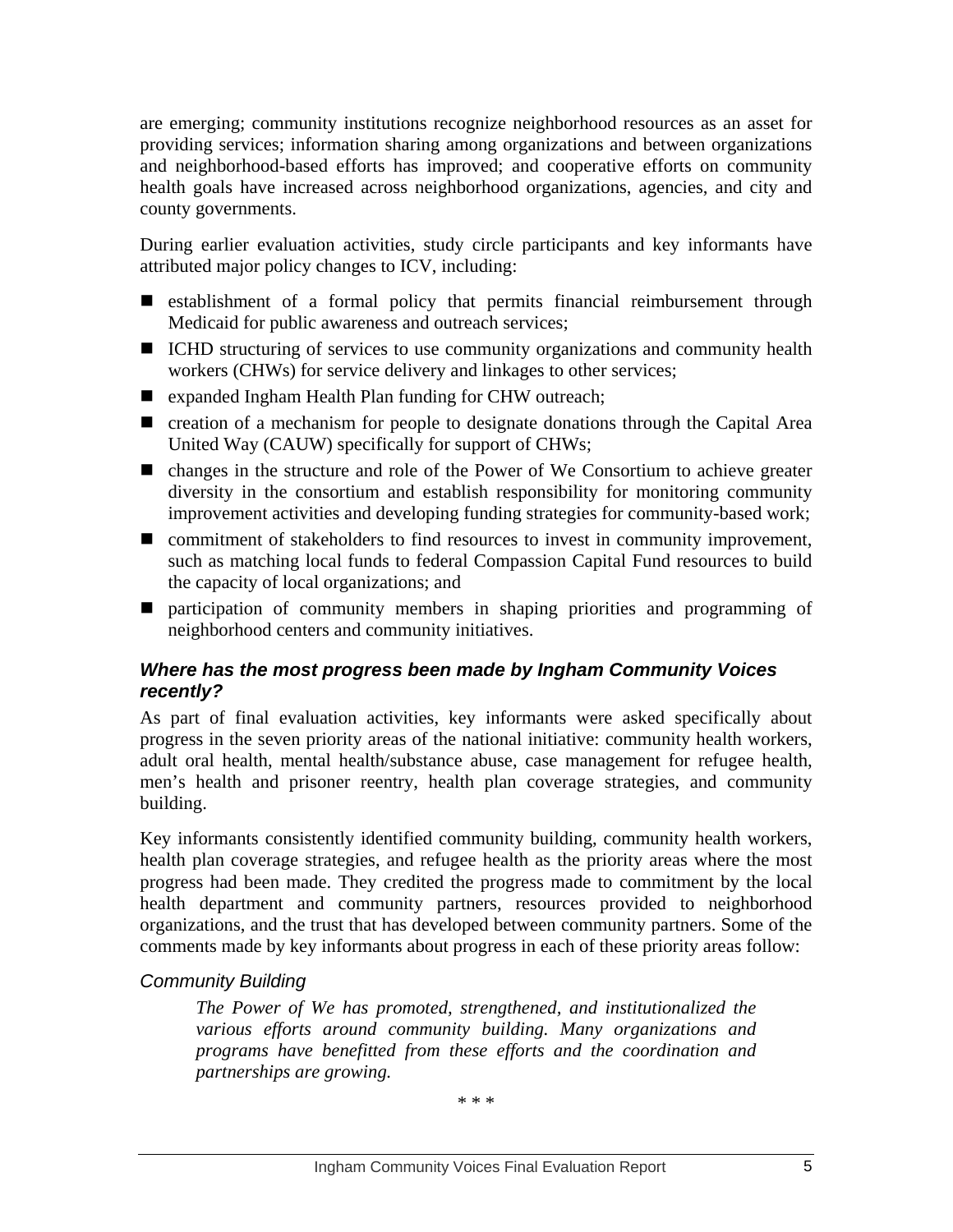are emerging; community institutions recognize neighborhood resources as an asset for providing services; information sharing among organizations and between organizations and neighborhood-based efforts has improved; and cooperative efforts on community health goals have increased across neighborhood organizations, agencies, and city and county governments.

During earlier evaluation activities, study circle participants and key informants have attributed major policy changes to ICV, including:

- **E** establishment of a formal policy that permits financial reimbursement through Medicaid for public awareness and outreach services;
- ICHD structuring of services to use community organizations and community health workers (CHWs) for service delivery and linkages to other services;
- expanded Ingham Health Plan funding for CHW outreach;
- creation of a mechanism for people to designate donations through the Capital Area United Way (CAUW) specifically for support of CHWs;
- changes in the structure and role of the Power of We Consortium to achieve greater diversity in the consortium and establish responsibility for monitoring community improvement activities and developing funding strategies for community-based work;
- commitment of stakeholders to find resources to invest in community improvement, such as matching local funds to federal Compassion Capital Fund resources to build the capacity of local organizations; and
- **Pertiden** participation of community members in shaping priorities and programming of neighborhood centers and community initiatives.

### *Where has the most progress been made by Ingham Community Voices recently?*

As part of final evaluation activities, key informants were asked specifically about progress in the seven priority areas of the national initiative: community health workers, adult oral health, mental health/substance abuse, case management for refugee health, men's health and prisoner reentry, health plan coverage strategies, and community building.

Key informants consistently identified community building, community health workers, health plan coverage strategies, and refugee health as the priority areas where the most progress had been made. They credited the progress made to commitment by the local health department and community partners, resources provided to neighborhood organizations, and the trust that has developed between community partners. Some of the comments made by key informants about progress in each of these priority areas follow:

## *Community Building*

*The Power of We has promoted, strengthened, and institutionalized the various efforts around community building. Many organizations and programs have benefitted from these efforts and the coordination and partnerships are growing.* 

\* \* \*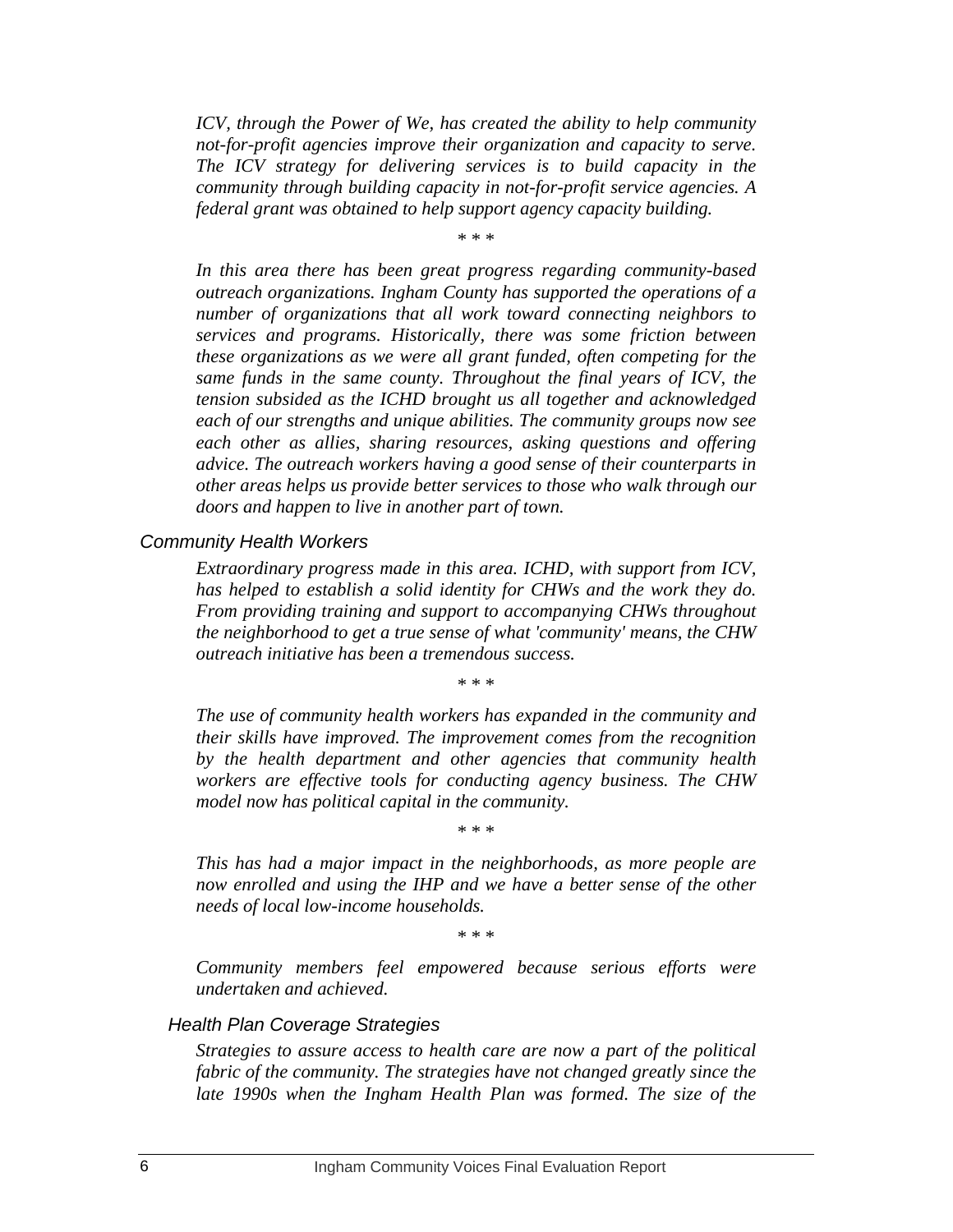*ICV, through the Power of We, has created the ability to help community not-for-profit agencies improve their organization and capacity to serve. The ICV strategy for delivering services is to build capacity in the community through building capacity in not-for-profit service agencies. A federal grant was obtained to help support agency capacity building.* 

\* \* \*

*In this area there has been great progress regarding community-based outreach organizations. Ingham County has supported the operations of a number of organizations that all work toward connecting neighbors to services and programs. Historically, there was some friction between these organizations as we were all grant funded, often competing for the same funds in the same county. Throughout the final years of ICV, the tension subsided as the ICHD brought us all together and acknowledged each of our strengths and unique abilities. The community groups now see each other as allies, sharing resources, asking questions and offering advice. The outreach workers having a good sense of their counterparts in other areas helps us provide better services to those who walk through our doors and happen to live in another part of town.* 

*Community Health Workers* 

*Extraordinary progress made in this area. ICHD, with support from ICV, has helped to establish a solid identity for CHWs and the work they do. From providing training and support to accompanying CHWs throughout the neighborhood to get a true sense of what 'community' means, the CHW outreach initiative has been a tremendous success.* 

\* \* \*

*The use of community health workers has expanded in the community and their skills have improved. The improvement comes from the recognition by the health department and other agencies that community health workers are effective tools for conducting agency business. The CHW model now has political capital in the community.* 

\* \* \*

*This has had a major impact in the neighborhoods, as more people are now enrolled and using the IHP and we have a better sense of the other needs of local low-income households.* 

\* \* \*

*Community members feel empowered because serious efforts were undertaken and achieved.* 

#### *Health Plan Coverage Strategies*

*Strategies to assure access to health care are now a part of the political fabric of the community. The strategies have not changed greatly since the late 1990s when the Ingham Health Plan was formed. The size of the*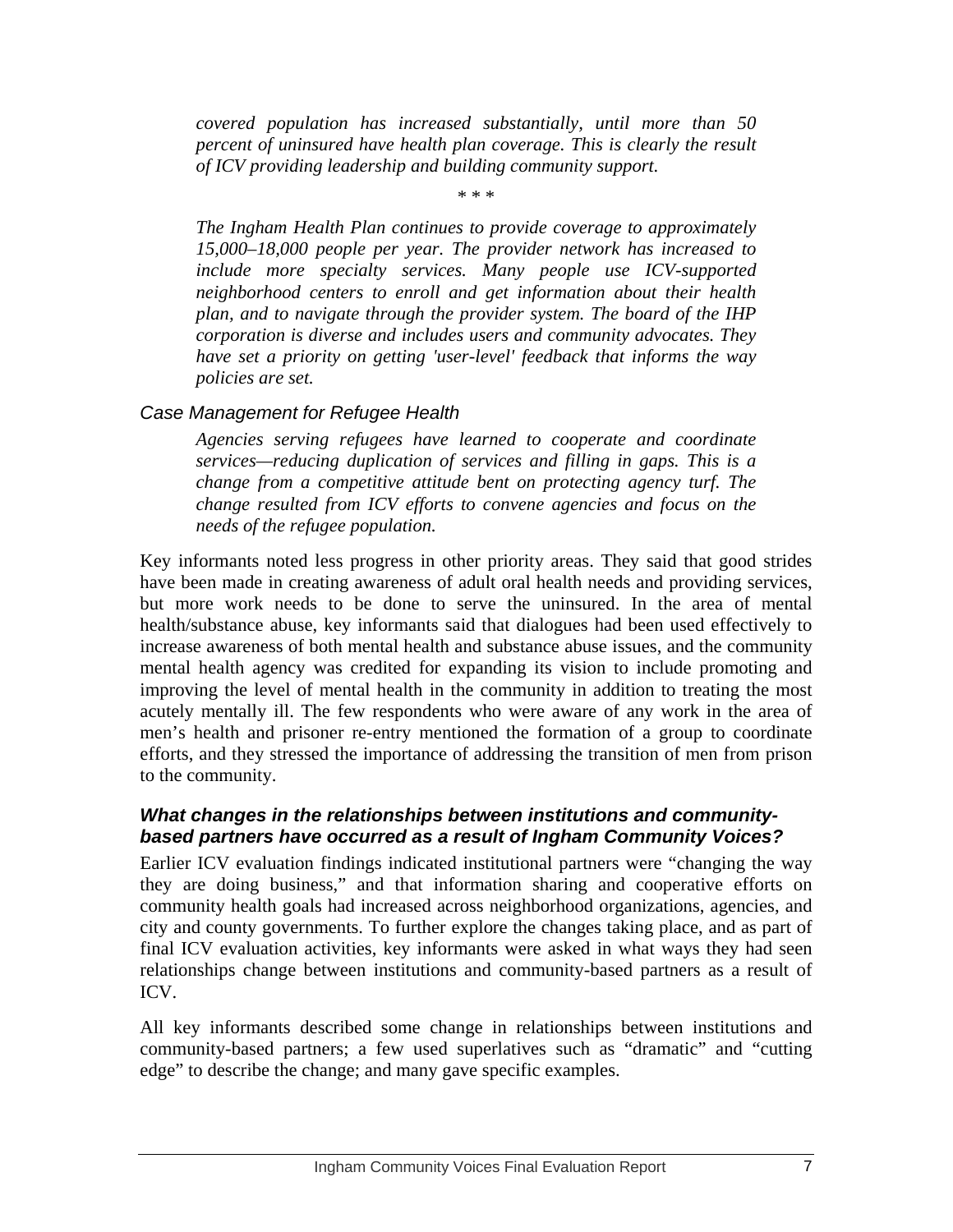*covered population has increased substantially, until more than 50 percent of uninsured have health plan coverage. This is clearly the result of ICV providing leadership and building community support.* 

\* \* \*

*The Ingham Health Plan continues to provide coverage to approximately 15,000–18,000 people per year. The provider network has increased to include more specialty services. Many people use ICV-supported neighborhood centers to enroll and get information about their health plan, and to navigate through the provider system. The board of the IHP corporation is diverse and includes users and community advocates. They have set a priority on getting 'user-level' feedback that informs the way policies are set.* 

#### *Case Management for Refugee Health*

*Agencies serving refugees have learned to cooperate and coordinate services—reducing duplication of services and filling in gaps. This is a change from a competitive attitude bent on protecting agency turf. The change resulted from ICV efforts to convene agencies and focus on the needs of the refugee population.* 

Key informants noted less progress in other priority areas. They said that good strides have been made in creating awareness of adult oral health needs and providing services, but more work needs to be done to serve the uninsured. In the area of mental health/substance abuse, key informants said that dialogues had been used effectively to increase awareness of both mental health and substance abuse issues, and the community mental health agency was credited for expanding its vision to include promoting and improving the level of mental health in the community in addition to treating the most acutely mentally ill. The few respondents who were aware of any work in the area of men's health and prisoner re-entry mentioned the formation of a group to coordinate efforts, and they stressed the importance of addressing the transition of men from prison to the community.

#### *What changes in the relationships between institutions and communitybased partners have occurred as a result of Ingham Community Voices?*

Earlier ICV evaluation findings indicated institutional partners were "changing the way they are doing business," and that information sharing and cooperative efforts on community health goals had increased across neighborhood organizations, agencies, and city and county governments. To further explore the changes taking place, and as part of final ICV evaluation activities, key informants were asked in what ways they had seen relationships change between institutions and community-based partners as a result of ICV.

All key informants described some change in relationships between institutions and community-based partners; a few used superlatives such as "dramatic" and "cutting edge" to describe the change; and many gave specific examples.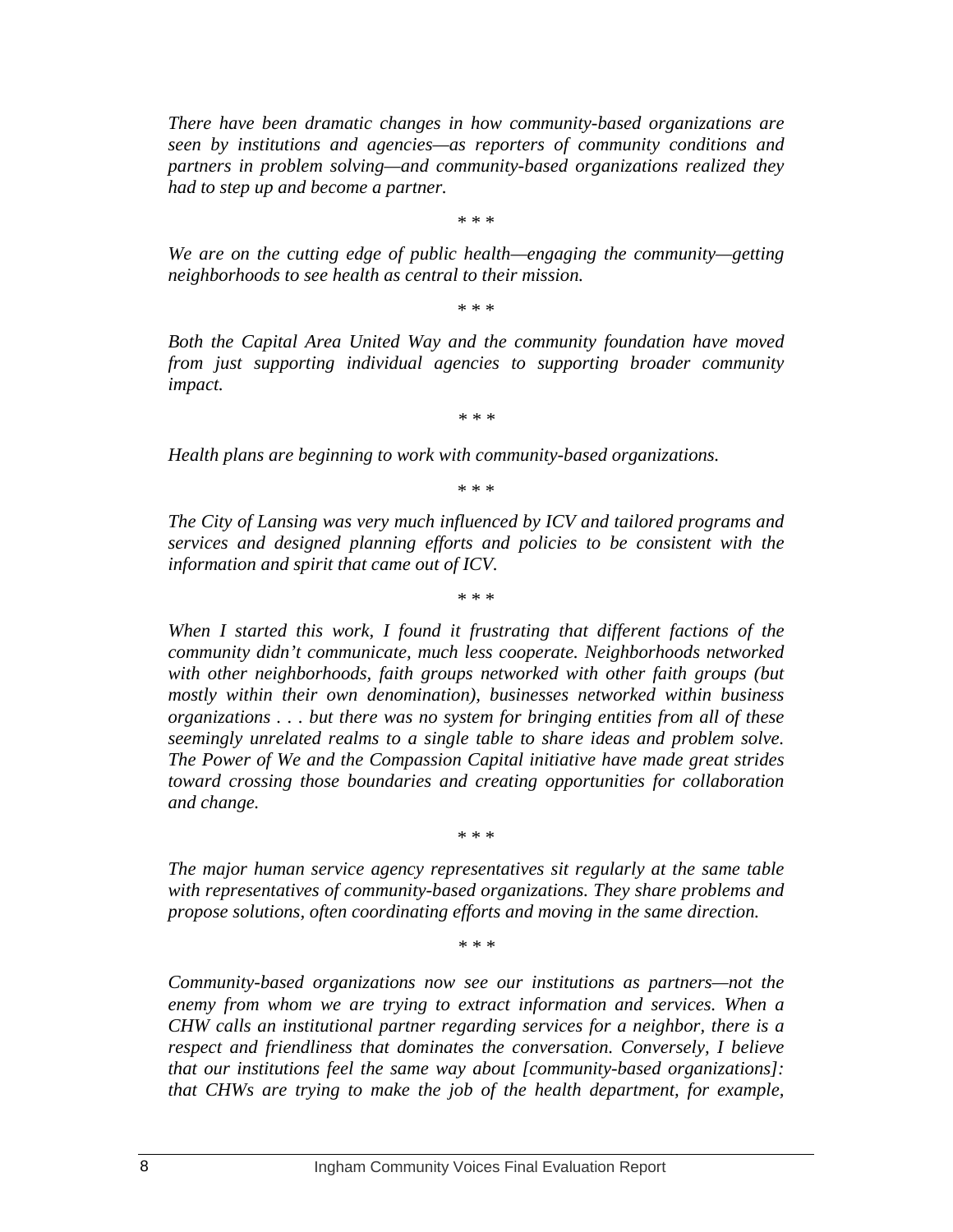*There have been dramatic changes in how community-based organizations are seen by institutions and agencies—as reporters of community conditions and partners in problem solving—and community-based organizations realized they had to step up and become a partner.* 

\* \* \*

*We are on the cutting edge of public health—engaging the community—getting neighborhoods to see health as central to their mission.* 

\* \* \*

*Both the Capital Area United Way and the community foundation have moved from just supporting individual agencies to supporting broader community impact.* 

*\* \* \** 

*Health plans are beginning to work with community-based organizations.* 

\* \* \*

*The City of Lansing was very much influenced by ICV and tailored programs and services and designed planning efforts and policies to be consistent with the information and spirit that came out of ICV.* 

\* \* \*

*When I started this work, I found it frustrating that different factions of the community didn't communicate, much less cooperate. Neighborhoods networked with other neighborhoods, faith groups networked with other faith groups (but mostly within their own denomination), businesses networked within business organizations . . . but there was no system for bringing entities from all of these seemingly unrelated realms to a single table to share ideas and problem solve. The Power of We and the Compassion Capital initiative have made great strides toward crossing those boundaries and creating opportunities for collaboration and change.* 

\* \* \*

*The major human service agency representatives sit regularly at the same table with representatives of community-based organizations. They share problems and propose solutions, often coordinating efforts and moving in the same direction.* 

*\* \* \** 

*Community-based organizations now see our institutions as partners—not the enemy from whom we are trying to extract information and services. When a CHW calls an institutional partner regarding services for a neighbor, there is a respect and friendliness that dominates the conversation. Conversely, I believe that our institutions feel the same way about [community-based organizations]: that CHWs are trying to make the job of the health department, for example,*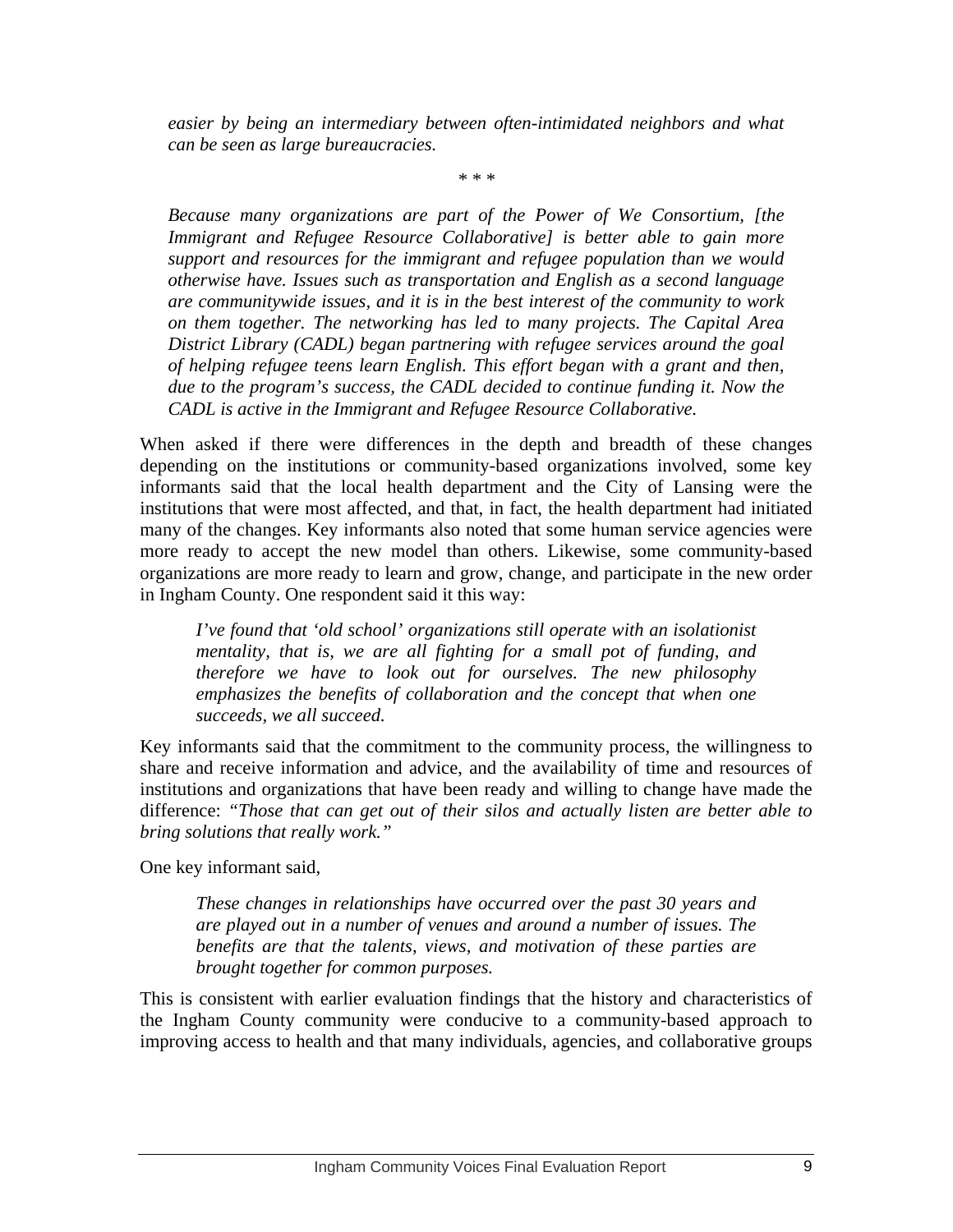*easier by being an intermediary between often-intimidated neighbors and what can be seen as large bureaucracies.* 

*\* \* \** 

*Because many organizations are part of the Power of We Consortium, [the Immigrant and Refugee Resource Collaborative] is better able to gain more support and resources for the immigrant and refugee population than we would otherwise have. Issues such as transportation and English as a second language are communitywide issues, and it is in the best interest of the community to work on them together. The networking has led to many projects. The Capital Area District Library (CADL) began partnering with refugee services around the goal of helping refugee teens learn English. This effort began with a grant and then, due to the program's success, the CADL decided to continue funding it. Now the CADL is active in the Immigrant and Refugee Resource Collaborative.* 

When asked if there were differences in the depth and breadth of these changes depending on the institutions or community-based organizations involved, some key informants said that the local health department and the City of Lansing were the institutions that were most affected, and that, in fact, the health department had initiated many of the changes. Key informants also noted that some human service agencies were more ready to accept the new model than others. Likewise, some community-based organizations are more ready to learn and grow, change, and participate in the new order in Ingham County. One respondent said it this way:

*I've found that 'old school' organizations still operate with an isolationist mentality, that is, we are all fighting for a small pot of funding, and therefore we have to look out for ourselves. The new philosophy emphasizes the benefits of collaboration and the concept that when one succeeds, we all succeed.* 

Key informants said that the commitment to the community process, the willingness to share and receive information and advice, and the availability of time and resources of institutions and organizations that have been ready and willing to change have made the difference: *"Those that can get out of their silos and actually listen are better able to bring solutions that really work."* 

One key informant said,

*These changes in relationships have occurred over the past 30 years and are played out in a number of venues and around a number of issues. The benefits are that the talents, views, and motivation of these parties are brought together for common purposes.* 

This is consistent with earlier evaluation findings that the history and characteristics of the Ingham County community were conducive to a community-based approach to improving access to health and that many individuals, agencies, and collaborative groups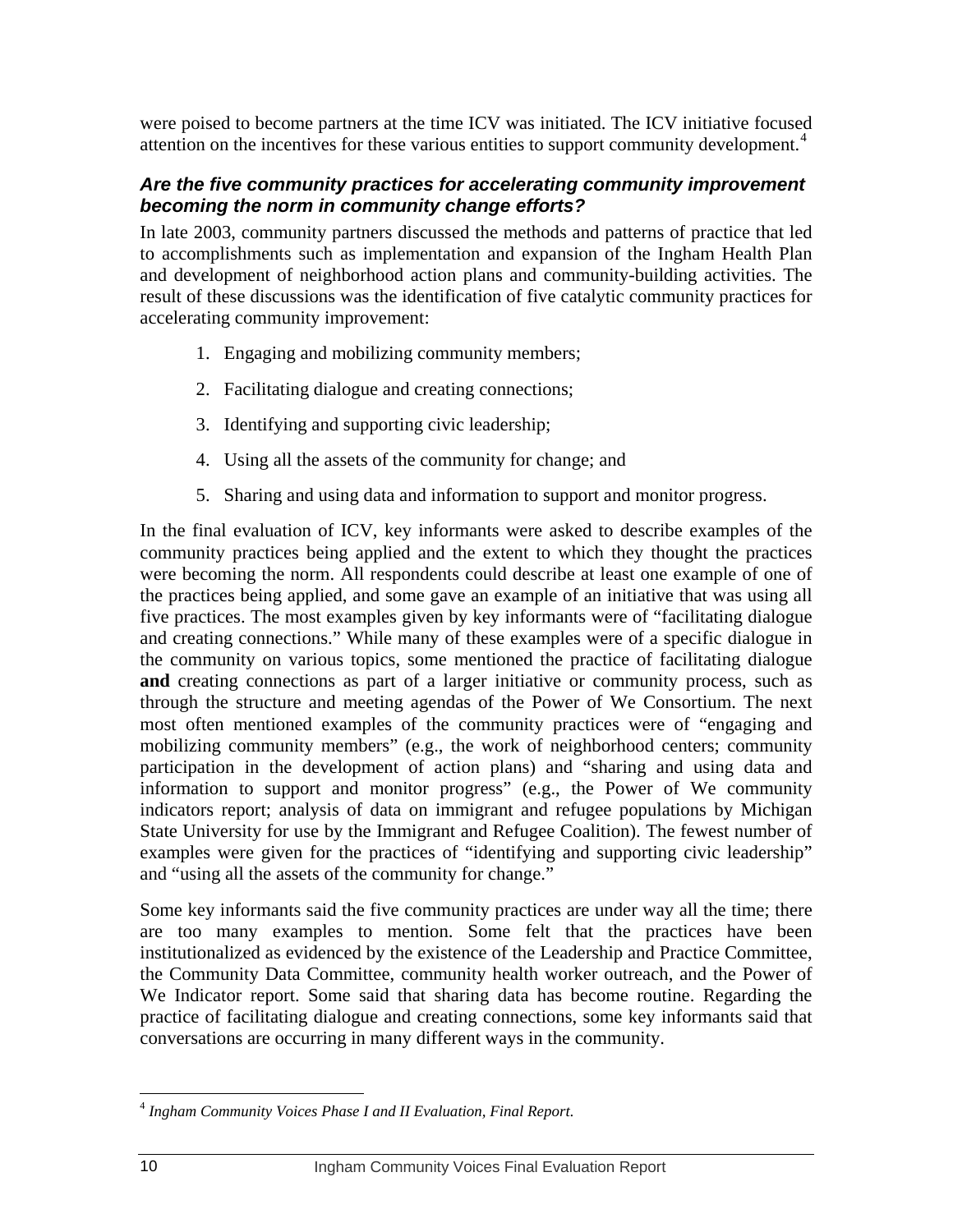<span id="page-13-0"></span>were poised to become partners at the time ICV was initiated. The ICV initiative focused attention on the incentives for these various entities to support community development.<sup>[4](#page-13-0)</sup>

#### *Are the five community practices for accelerating community improvement becoming the norm in community change efforts?*

In late 2003, community partners discussed the methods and patterns of practice that led to accomplishments such as implementation and expansion of the Ingham Health Plan and development of neighborhood action plans and community-building activities. The result of these discussions was the identification of five catalytic community practices for accelerating community improvement:

- 1. Engaging and mobilizing community members;
- 2. Facilitating dialogue and creating connections;
- 3. Identifying and supporting civic leadership;
- 4. Using all the assets of the community for change; and
- 5. Sharing and using data and information to support and monitor progress.

In the final evaluation of ICV, key informants were asked to describe examples of the community practices being applied and the extent to which they thought the practices were becoming the norm. All respondents could describe at least one example of one of the practices being applied, and some gave an example of an initiative that was using all five practices. The most examples given by key informants were of "facilitating dialogue and creating connections." While many of these examples were of a specific dialogue in the community on various topics, some mentioned the practice of facilitating dialogue **and** creating connections as part of a larger initiative or community process, such as through the structure and meeting agendas of the Power of We Consortium. The next most often mentioned examples of the community practices were of "engaging and mobilizing community members" (e.g., the work of neighborhood centers; community participation in the development of action plans) and "sharing and using data and information to support and monitor progress" (e.g., the Power of We community indicators report; analysis of data on immigrant and refugee populations by Michigan State University for use by the Immigrant and Refugee Coalition). The fewest number of examples were given for the practices of "identifying and supporting civic leadership" and "using all the assets of the community for change."

Some key informants said the five community practices are under way all the time; there are too many examples to mention. Some felt that the practices have been institutionalized as evidenced by the existence of the Leadership and Practice Committee, the Community Data Committee, community health worker outreach, and the Power of We Indicator report. Some said that sharing data has become routine. Regarding the practice of facilitating dialogue and creating connections, some key informants said that conversations are occurring in many different ways in the community.

 $\overline{a}$ <sup>4</sup> *Ingham Community Voices Phase I and II Evaluation, Final Report*.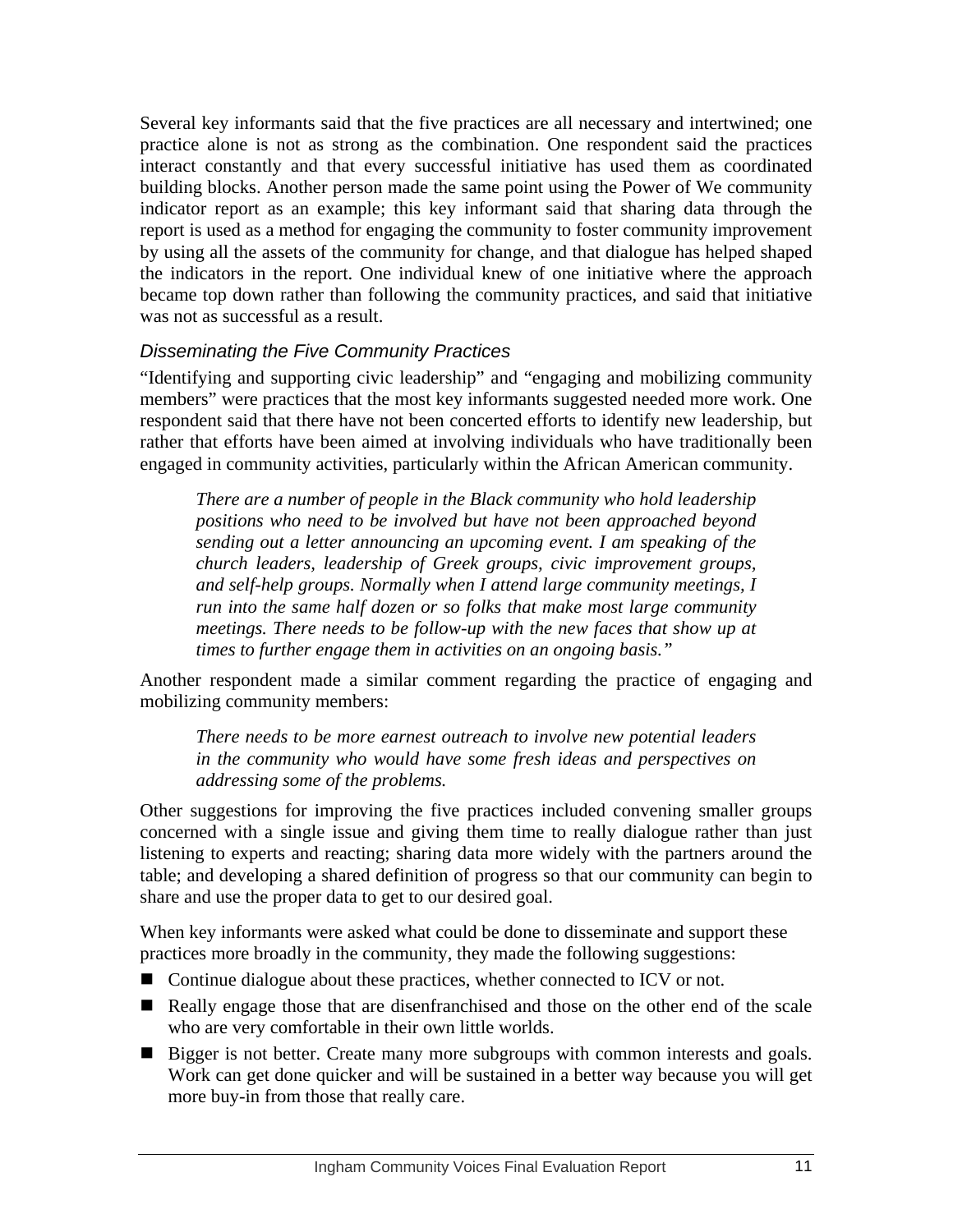Several key informants said that the five practices are all necessary and intertwined; one practice alone is not as strong as the combination. One respondent said the practices interact constantly and that every successful initiative has used them as coordinated building blocks. Another person made the same point using the Power of We community indicator report as an example; this key informant said that sharing data through the report is used as a method for engaging the community to foster community improvement by using all the assets of the community for change, and that dialogue has helped shaped the indicators in the report. One individual knew of one initiative where the approach became top down rather than following the community practices, and said that initiative was not as successful as a result.

#### *Disseminating the Five Community Practices*

"Identifying and supporting civic leadership" and "engaging and mobilizing community members" were practices that the most key informants suggested needed more work. One respondent said that there have not been concerted efforts to identify new leadership, but rather that efforts have been aimed at involving individuals who have traditionally been engaged in community activities, particularly within the African American community.

*There are a number of people in the Black community who hold leadership positions who need to be involved but have not been approached beyond sending out a letter announcing an upcoming event. I am speaking of the church leaders, leadership of Greek groups, civic improvement groups, and self-help groups. Normally when I attend large community meetings, I run into the same half dozen or so folks that make most large community meetings. There needs to be follow-up with the new faces that show up at times to further engage them in activities on an ongoing basis."* 

Another respondent made a similar comment regarding the practice of engaging and mobilizing community members:

*There needs to be more earnest outreach to involve new potential leaders in the community who would have some fresh ideas and perspectives on addressing some of the problems.* 

Other suggestions for improving the five practices included convening smaller groups concerned with a single issue and giving them time to really dialogue rather than just listening to experts and reacting; sharing data more widely with the partners around the table; and developing a shared definition of progress so that our community can begin to share and use the proper data to get to our desired goal.

When key informants were asked what could be done to disseminate and support these practices more broadly in the community, they made the following suggestions:

- Continue dialogue about these practices, whether connected to ICV or not.
- Really engage those that are disenfranchised and those on the other end of the scale who are very comfortable in their own little worlds.
- **Bigger is not better. Create many more subgroups with common interests and goals.** Work can get done quicker and will be sustained in a better way because you will get more buy-in from those that really care.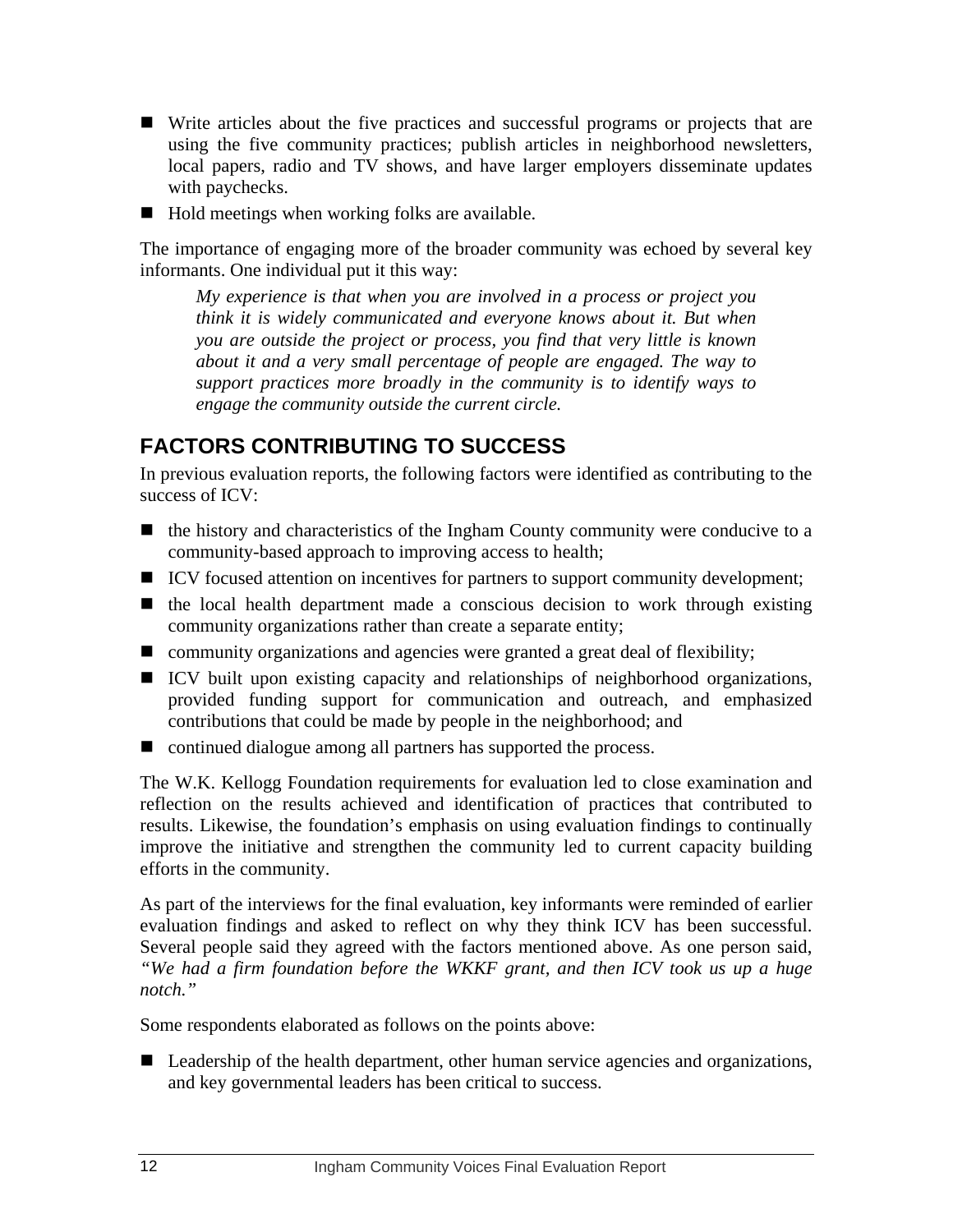- <span id="page-15-0"></span>■ Write articles about the five practices and successful programs or projects that are using the five community practices; publish articles in neighborhood newsletters, local papers, radio and TV shows, and have larger employers disseminate updates with paychecks.
- $\blacksquare$  Hold meetings when working folks are available.

The importance of engaging more of the broader community was echoed by several key informants. One individual put it this way:

*My experience is that when you are involved in a process or project you think it is widely communicated and everyone knows about it. But when you are outside the project or process, you find that very little is known about it and a very small percentage of people are engaged. The way to support practices more broadly in the community is to identify ways to engage the community outside the current circle.* 

# **FACTORS CONTRIBUTING TO SUCCESS**

In previous evaluation reports, the following factors were identified as contributing to the success of ICV:

- $\blacksquare$  the history and characteristics of the Ingham County community were conducive to a community-based approach to improving access to health;
- ICV focused attention on incentives for partners to support community development;
- $\blacksquare$  the local health department made a conscious decision to work through existing community organizations rather than create a separate entity;
- **E** community organizations and agencies were granted a great deal of flexibility;
- ICV built upon existing capacity and relationships of neighborhood organizations, provided funding support for communication and outreach, and emphasized contributions that could be made by people in the neighborhood; and
- continued dialogue among all partners has supported the process.

The W.K. Kellogg Foundation requirements for evaluation led to close examination and reflection on the results achieved and identification of practices that contributed to results. Likewise, the foundation's emphasis on using evaluation findings to continually improve the initiative and strengthen the community led to current capacity building efforts in the community.

As part of the interviews for the final evaluation, key informants were reminded of earlier evaluation findings and asked to reflect on why they think ICV has been successful. Several people said they agreed with the factors mentioned above. As one person said, *"We had a firm foundation before the WKKF grant, and then ICV took us up a huge notch."*

Some respondents elaborated as follows on the points above:

■ Leadership of the health department, other human service agencies and organizations, and key governmental leaders has been critical to success.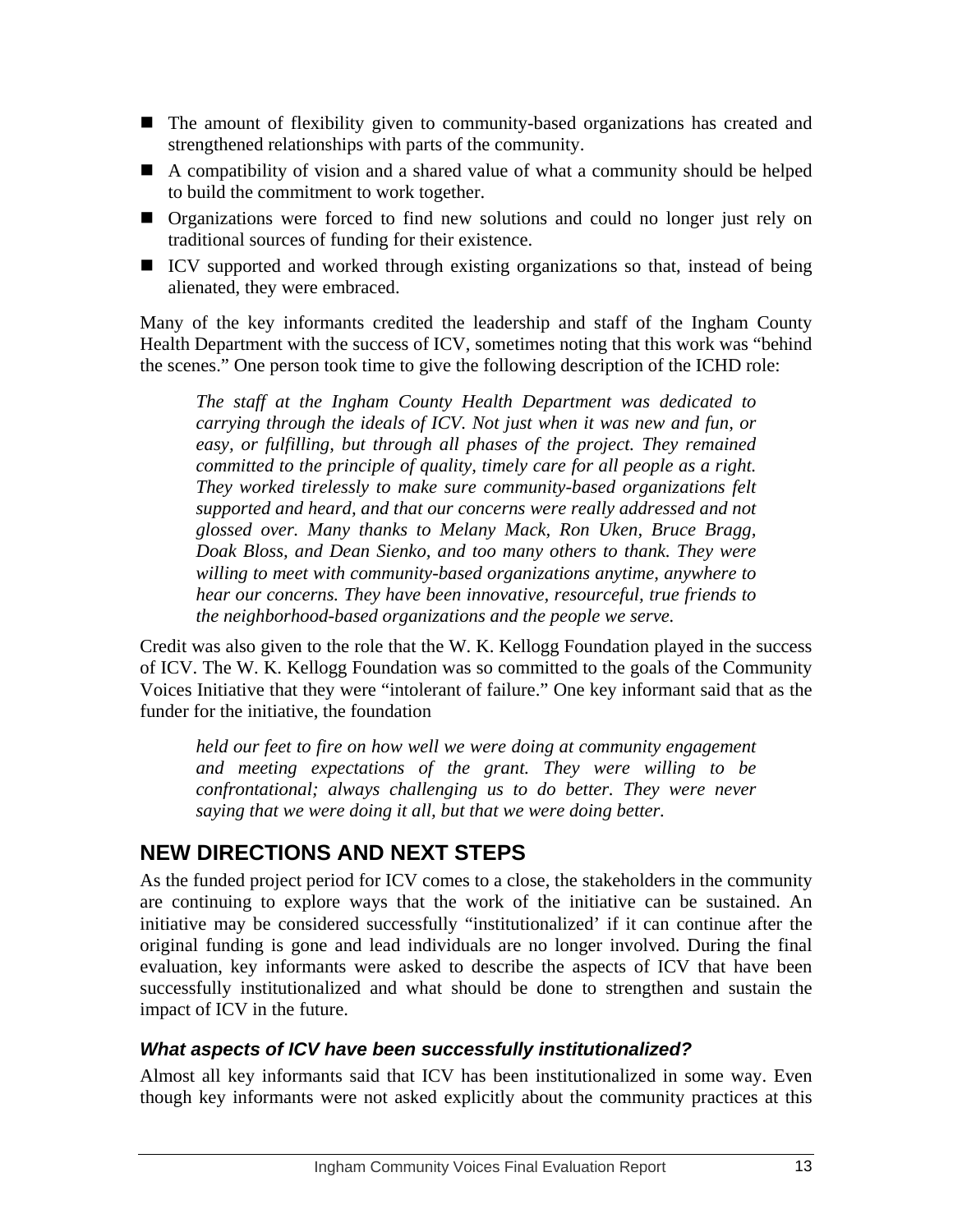- <span id="page-16-0"></span> The amount of flexibility given to community-based organizations has created and strengthened relationships with parts of the community.
- A compatibility of vision and a shared value of what a community should be helped to build the commitment to work together.
- Organizations were forced to find new solutions and could no longer just rely on traditional sources of funding for their existence.
- ICV supported and worked through existing organizations so that, instead of being alienated, they were embraced.

Many of the key informants credited the leadership and staff of the Ingham County Health Department with the success of ICV, sometimes noting that this work was "behind the scenes." One person took time to give the following description of the ICHD role:

*The staff at the Ingham County Health Department was dedicated to carrying through the ideals of ICV. Not just when it was new and fun, or easy, or fulfilling, but through all phases of the project. They remained committed to the principle of quality, timely care for all people as a right. They worked tirelessly to make sure community-based organizations felt supported and heard, and that our concerns were really addressed and not glossed over. Many thanks to Melany Mack, Ron Uken, Bruce Bragg, Doak Bloss, and Dean Sienko, and too many others to thank. They were willing to meet with community-based organizations anytime, anywhere to hear our concerns. They have been innovative, resourceful, true friends to the neighborhood-based organizations and the people we serve.* 

Credit was also given to the role that the W. K. Kellogg Foundation played in the success of ICV. The W. K. Kellogg Foundation was so committed to the goals of the Community Voices Initiative that they were "intolerant of failure." One key informant said that as the funder for the initiative, the foundation

*held our feet to fire on how well we were doing at community engagement and meeting expectations of the grant. They were willing to be confrontational; always challenging us to do better. They were never saying that we were doing it all, but that we were doing better.* 

# **NEW DIRECTIONS AND NEXT STEPS**

As the funded project period for ICV comes to a close, the stakeholders in the community are continuing to explore ways that the work of the initiative can be sustained. An initiative may be considered successfully "institutionalized' if it can continue after the original funding is gone and lead individuals are no longer involved. During the final evaluation, key informants were asked to describe the aspects of ICV that have been successfully institutionalized and what should be done to strengthen and sustain the impact of ICV in the future.

#### *What aspects of ICV have been successfully institutionalized?*

Almost all key informants said that ICV has been institutionalized in some way. Even though key informants were not asked explicitly about the community practices at this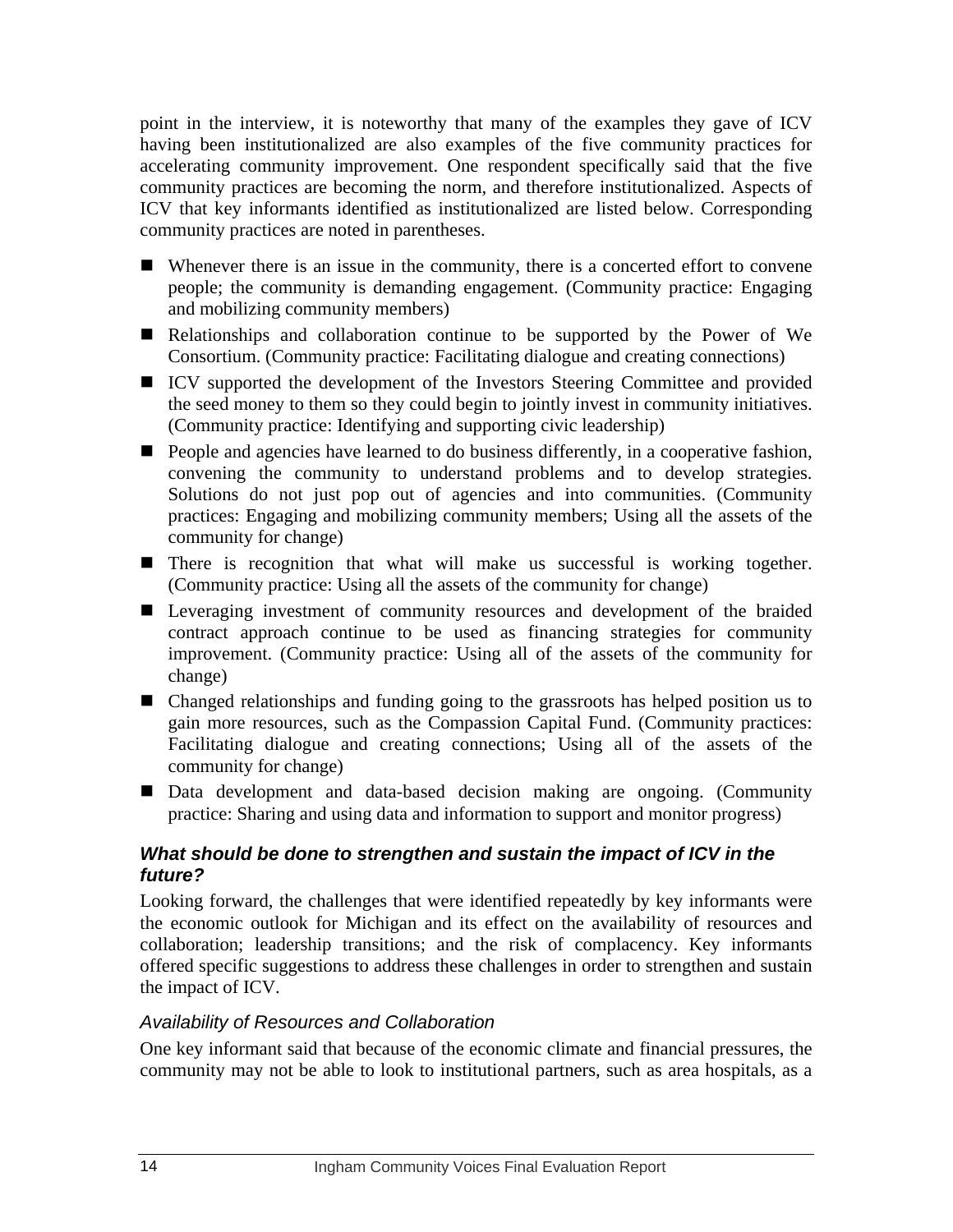point in the interview, it is noteworthy that many of the examples they gave of ICV having been institutionalized are also examples of the five community practices for accelerating community improvement. One respondent specifically said that the five community practices are becoming the norm, and therefore institutionalized. Aspects of ICV that key informants identified as institutionalized are listed below. Corresponding community practices are noted in parentheses.

- Whenever there is an issue in the community, there is a concerted effort to convene people; the community is demanding engagement. (Community practice: Engaging and mobilizing community members)
- Relationships and collaboration continue to be supported by the Power of We Consortium. (Community practice: Facilitating dialogue and creating connections)
- ICV supported the development of the Investors Steering Committee and provided the seed money to them so they could begin to jointly invest in community initiatives. (Community practice: Identifying and supporting civic leadership)
- $\blacksquare$  People and agencies have learned to do business differently, in a cooperative fashion, convening the community to understand problems and to develop strategies. Solutions do not just pop out of agencies and into communities. (Community practices: Engaging and mobilizing community members; Using all the assets of the community for change)
- There is recognition that what will make us successful is working together. (Community practice: Using all the assets of the community for change)
- Leveraging investment of community resources and development of the braided contract approach continue to be used as financing strategies for community improvement. (Community practice: Using all of the assets of the community for change)
- Changed relationships and funding going to the grassroots has helped position us to gain more resources, such as the Compassion Capital Fund. (Community practices: Facilitating dialogue and creating connections; Using all of the assets of the community for change)
- Data development and data-based decision making are ongoing. (Community practice: Sharing and using data and information to support and monitor progress)

#### *What should be done to strengthen and sustain the impact of ICV in the future?*

Looking forward, the challenges that were identified repeatedly by key informants were the economic outlook for Michigan and its effect on the availability of resources and collaboration; leadership transitions; and the risk of complacency. Key informants offered specific suggestions to address these challenges in order to strengthen and sustain the impact of ICV.

#### *Availability of Resources and Collaboration*

One key informant said that because of the economic climate and financial pressures, the community may not be able to look to institutional partners, such as area hospitals, as a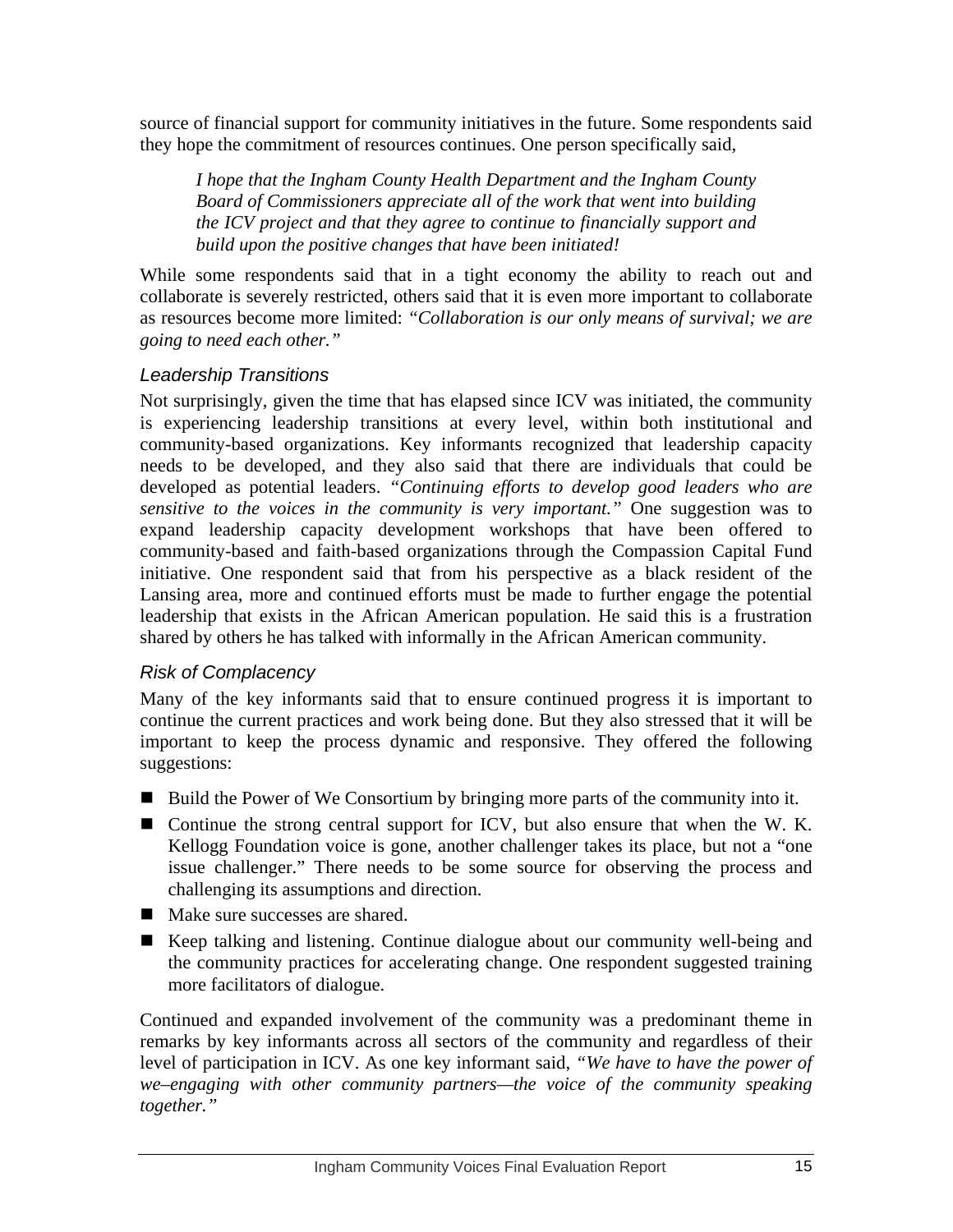source of financial support for community initiatives in the future. Some respondents said they hope the commitment of resources continues. One person specifically said,

*I hope that the Ingham County Health Department and the Ingham County Board of Commissioners appreciate all of the work that went into building the ICV project and that they agree to continue to financially support and build upon the positive changes that have been initiated!* 

While some respondents said that in a tight economy the ability to reach out and collaborate is severely restricted, others said that it is even more important to collaborate as resources become more limited: *"Collaboration is our only means of survival; we are going to need each other."* 

### *Leadership Transitions*

Not surprisingly, given the time that has elapsed since ICV was initiated, the community is experiencing leadership transitions at every level, within both institutional and community-based organizations. Key informants recognized that leadership capacity needs to be developed, and they also said that there are individuals that could be developed as potential leaders. *"Continuing efforts to develop good leaders who are sensitive to the voices in the community is very important."* One suggestion was to expand leadership capacity development workshops that have been offered to community-based and faith-based organizations through the Compassion Capital Fund initiative. One respondent said that from his perspective as a black resident of the Lansing area, more and continued efforts must be made to further engage the potential leadership that exists in the African American population. He said this is a frustration shared by others he has talked with informally in the African American community.

#### *Risk of Complacency*

Many of the key informants said that to ensure continued progress it is important to continue the current practices and work being done. But they also stressed that it will be important to keep the process dynamic and responsive. They offered the following suggestions:

- Build the Power of We Consortium by bringing more parts of the community into it.
- Continue the strong central support for ICV, but also ensure that when the W. K. Kellogg Foundation voice is gone, another challenger takes its place, but not a "one issue challenger." There needs to be some source for observing the process and challenging its assumptions and direction.
- Make sure successes are shared.
- Keep talking and listening. Continue dialogue about our community well-being and the community practices for accelerating change. One respondent suggested training more facilitators of dialogue.

Continued and expanded involvement of the community was a predominant theme in remarks by key informants across all sectors of the community and regardless of their level of participation in ICV. As one key informant said, *"We have to have the power of we–engaging with other community partners—the voice of the community speaking together."*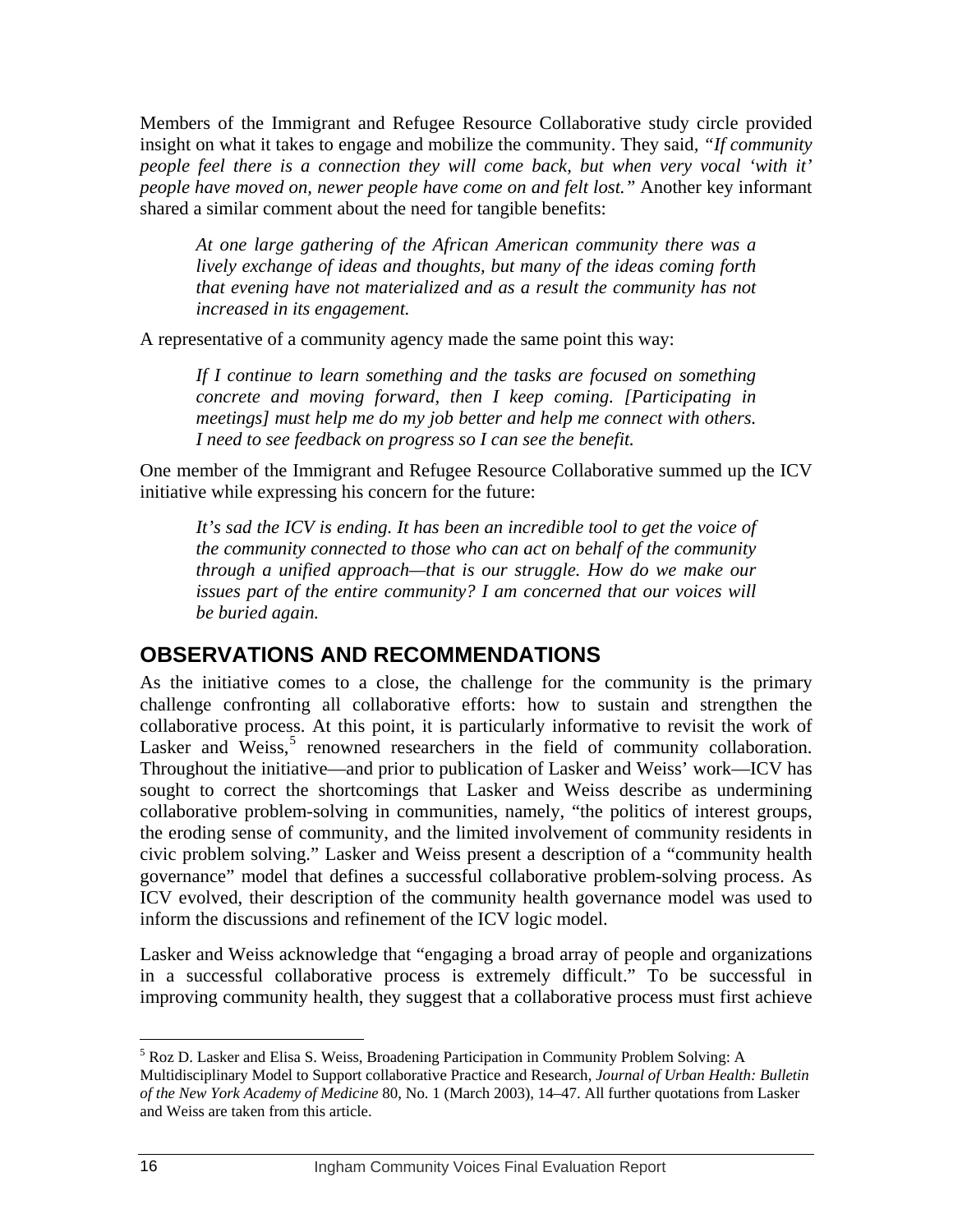<span id="page-19-0"></span>Members of the Immigrant and Refugee Resource Collaborative study circle provided insight on what it takes to engage and mobilize the community. They said*, "If community people feel there is a connection they will come back, but when very vocal 'with it' people have moved on, newer people have come on and felt lost."* Another key informant shared a similar comment about the need for tangible benefits:

*At one large gathering of the African American community there was a lively exchange of ideas and thoughts, but many of the ideas coming forth that evening have not materialized and as a result the community has not increased in its engagement.* 

A representative of a community agency made the same point this way:

*If I continue to learn something and the tasks are focused on something concrete and moving forward, then I keep coming. [Participating in meetings] must help me do my job better and help me connect with others. I need to see feedback on progress so I can see the benefit.* 

One member of the Immigrant and Refugee Resource Collaborative summed up the ICV initiative while expressing his concern for the future:

*It's sad the ICV is ending. It has been an incredible tool to get the voice of the community connected to those who can act on behalf of the community through a unified approach—that is our struggle. How do we make our issues part of the entire community? I am concerned that our voices will be buried again.* 

## **OBSERVATIONS AND RECOMMENDATIONS**

As the initiative comes to a close, the challenge for the community is the primary challenge confronting all collaborative efforts: how to sustain and strengthen the collaborative process. At this point, it is particularly informative to revisit the work of Lasker and Weiss,<sup>[5](#page-19-0)</sup> renowned researchers in the field of community collaboration. Throughout the initiative—and prior to publication of Lasker and Weiss' work—ICV has sought to correct the shortcomings that Lasker and Weiss describe as undermining collaborative problem-solving in communities, namely, "the politics of interest groups, the eroding sense of community, and the limited involvement of community residents in civic problem solving." Lasker and Weiss present a description of a "community health governance" model that defines a successful collaborative problem-solving process. As ICV evolved, their description of the community health governance model was used to inform the discussions and refinement of the ICV logic model.

Lasker and Weiss acknowledge that "engaging a broad array of people and organizations in a successful collaborative process is extremely difficult." To be successful in improving community health, they suggest that a collaborative process must first achieve

 $\overline{a}$ 

<sup>&</sup>lt;sup>5</sup> Roz D. Lasker and Elisa S. Weiss, Broadening Participation in Community Problem Solving: A Multidisciplinary Model to Support collaborative Practice and Research, *Journal of Urban Health: Bulletin of the New York Academy of Medicine* 80, No. 1 (March 2003), 14–47. All further quotations from Lasker and Weiss are taken from this article.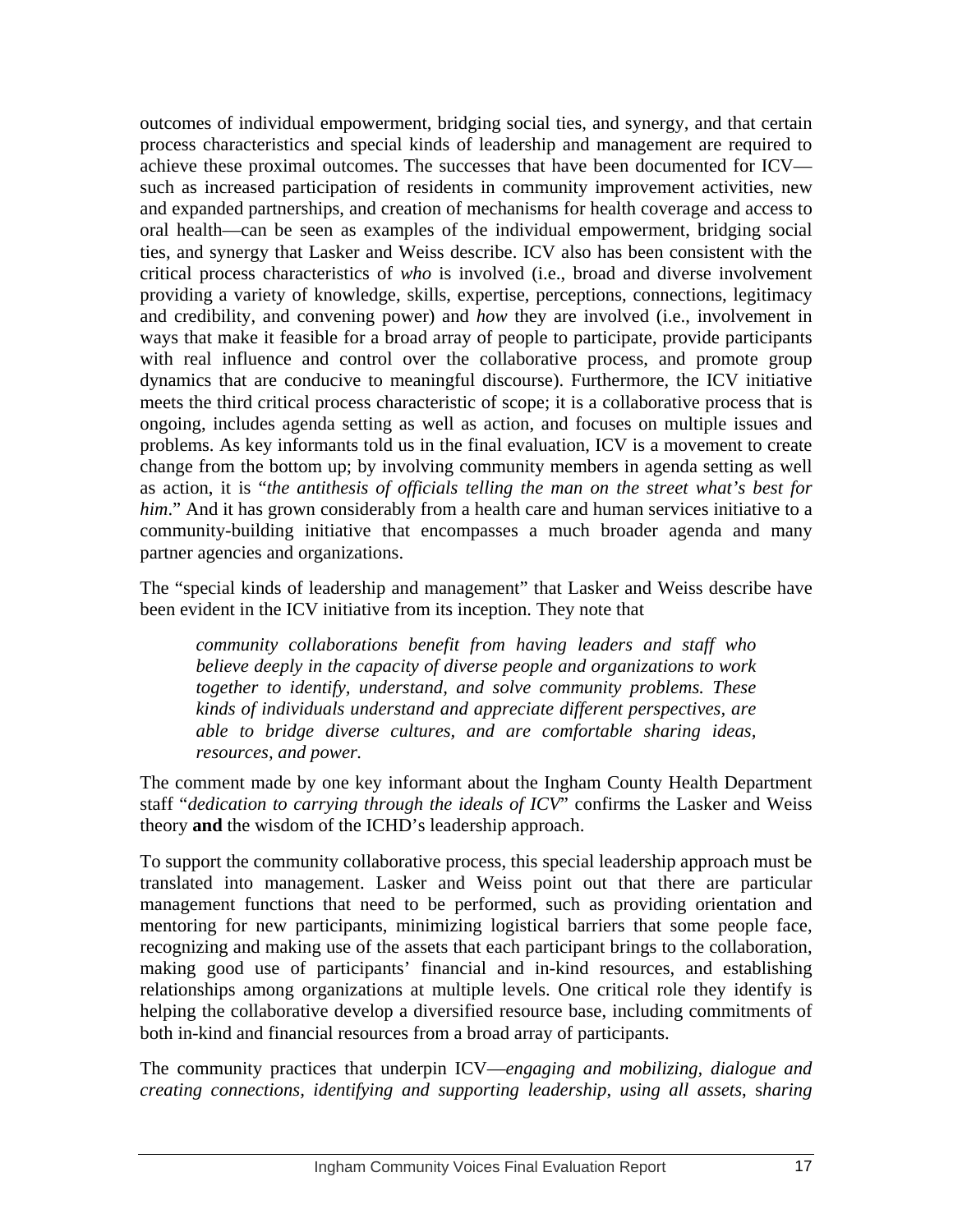outcomes of individual empowerment, bridging social ties, and synergy, and that certain process characteristics and special kinds of leadership and management are required to achieve these proximal outcomes. The successes that have been documented for ICV such as increased participation of residents in community improvement activities, new and expanded partnerships, and creation of mechanisms for health coverage and access to oral health—can be seen as examples of the individual empowerment, bridging social ties, and synergy that Lasker and Weiss describe. ICV also has been consistent with the critical process characteristics of *who* is involved (i.e., broad and diverse involvement providing a variety of knowledge, skills, expertise, perceptions, connections, legitimacy and credibility, and convening power) and *how* they are involved (i.e., involvement in ways that make it feasible for a broad array of people to participate, provide participants with real influence and control over the collaborative process, and promote group dynamics that are conducive to meaningful discourse). Furthermore, the ICV initiative meets the third critical process characteristic of scope; it is a collaborative process that is ongoing, includes agenda setting as well as action, and focuses on multiple issues and problems. As key informants told us in the final evaluation, ICV is a movement to create change from the bottom up; by involving community members in agenda setting as well as action, it is "*the antithesis of officials telling the man on the street what's best for him*." And it has grown considerably from a health care and human services initiative to a community-building initiative that encompasses a much broader agenda and many partner agencies and organizations.

The "special kinds of leadership and management" that Lasker and Weiss describe have been evident in the ICV initiative from its inception. They note that

*community collaborations benefit from having leaders and staff who believe deeply in the capacity of diverse people and organizations to work together to identify, understand, and solve community problems. These kinds of individuals understand and appreciate different perspectives, are able to bridge diverse cultures, and are comfortable sharing ideas, resources, and power.* 

The comment made by one key informant about the Ingham County Health Department staff "*dedication to carrying through the ideals of ICV*" confirms the Lasker and Weiss theory **and** the wisdom of the ICHD's leadership approach.

To support the community collaborative process, this special leadership approach must be translated into management. Lasker and Weiss point out that there are particular management functions that need to be performed, such as providing orientation and mentoring for new participants, minimizing logistical barriers that some people face, recognizing and making use of the assets that each participant brings to the collaboration, making good use of participants' financial and in-kind resources, and establishing relationships among organizations at multiple levels. One critical role they identify is helping the collaborative develop a diversified resource base, including commitments of both in-kind and financial resources from a broad array of participants.

The community practices that underpin ICV—*engaging and mobilizing, dialogue and creating connections, identifying and supporting leadership*, *using all assets*, s*haring*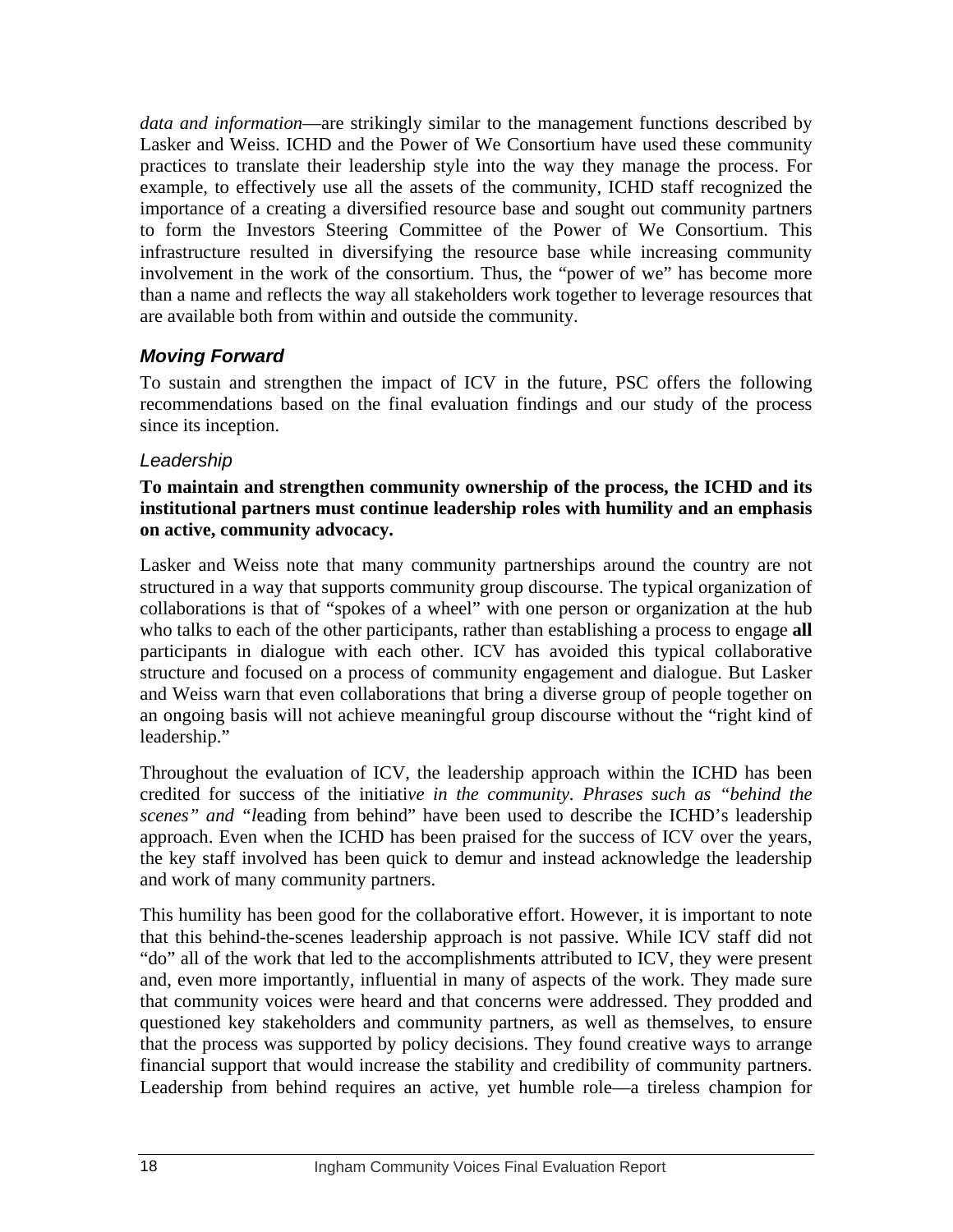*data and information*—are strikingly similar to the management functions described by Lasker and Weiss. ICHD and the Power of We Consortium have used these community practices to translate their leadership style into the way they manage the process. For example, to effectively use all the assets of the community, ICHD staff recognized the importance of a creating a diversified resource base and sought out community partners to form the Investors Steering Committee of the Power of We Consortium. This infrastructure resulted in diversifying the resource base while increasing community involvement in the work of the consortium. Thus, the "power of we" has become more than a name and reflects the way all stakeholders work together to leverage resources that are available both from within and outside the community.

## *Moving Forward*

To sustain and strengthen the impact of ICV in the future, PSC offers the following recommendations based on the final evaluation findings and our study of the process since its inception.

#### *Leadership*

#### **To maintain and strengthen community ownership of the process, the ICHD and its institutional partners must continue leadership roles with humility and an emphasis on active, community advocacy.**

Lasker and Weiss note that many community partnerships around the country are not structured in a way that supports community group discourse. The typical organization of collaborations is that of "spokes of a wheel" with one person or organization at the hub who talks to each of the other participants, rather than establishing a process to engage **all** participants in dialogue with each other. ICV has avoided this typical collaborative structure and focused on a process of community engagement and dialogue. But Lasker and Weiss warn that even collaborations that bring a diverse group of people together on an ongoing basis will not achieve meaningful group discourse without the "right kind of leadership."

Throughout the evaluation of ICV, the leadership approach within the ICHD has been credited for success of the initiati*ve in the community. Phrases such as "behind the scenes" and "l*eading from behind" have been used to describe the ICHD's leadership approach. Even when the ICHD has been praised for the success of ICV over the years, the key staff involved has been quick to demur and instead acknowledge the leadership and work of many community partners.

This humility has been good for the collaborative effort. However, it is important to note that this behind-the-scenes leadership approach is not passive. While ICV staff did not "do" all of the work that led to the accomplishments attributed to ICV, they were present and, even more importantly, influential in many of aspects of the work. They made sure that community voices were heard and that concerns were addressed. They prodded and questioned key stakeholders and community partners, as well as themselves, to ensure that the process was supported by policy decisions. They found creative ways to arrange financial support that would increase the stability and credibility of community partners. Leadership from behind requires an active, yet humble role—a tireless champion for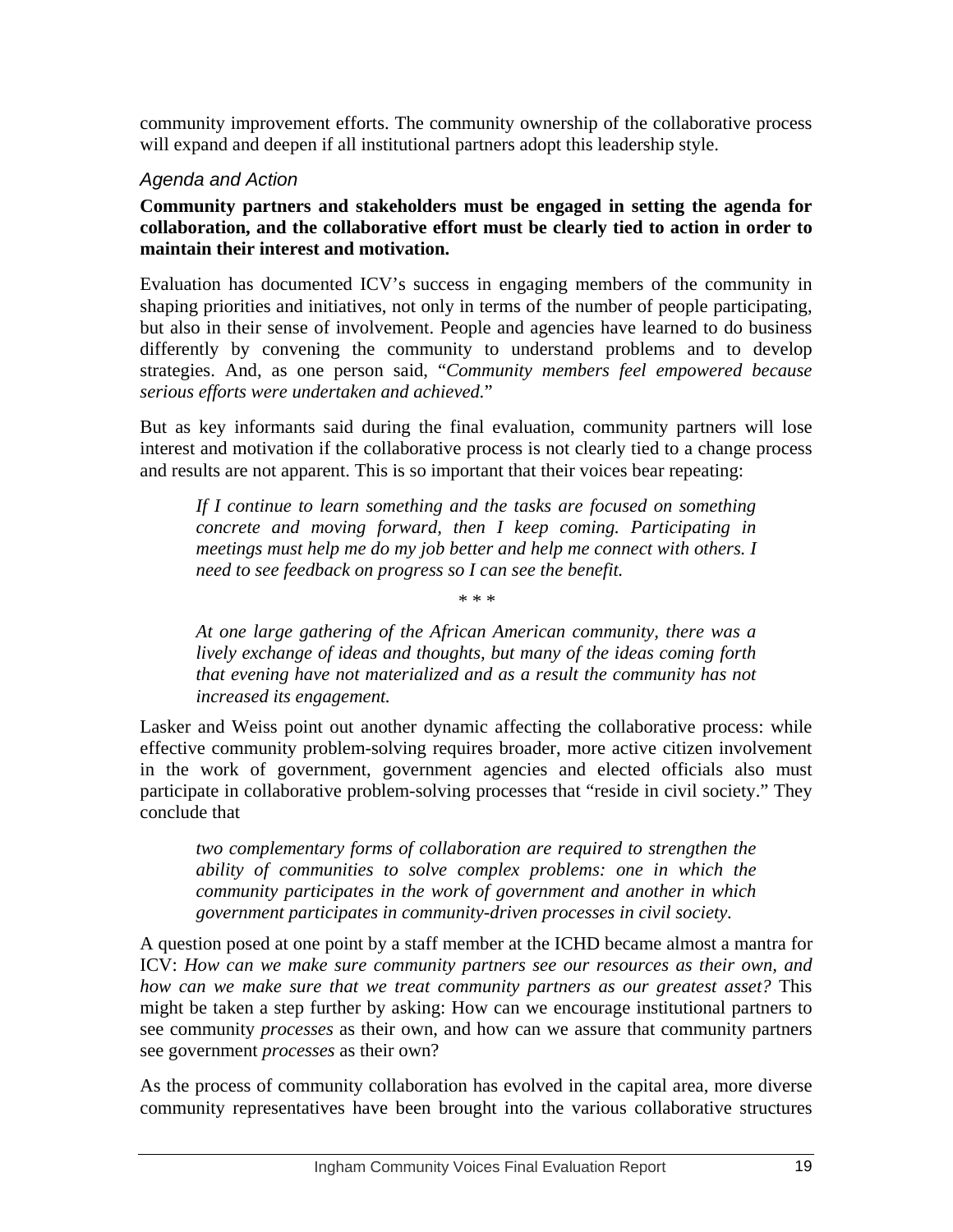community improvement efforts. The community ownership of the collaborative process will expand and deepen if all institutional partners adopt this leadership style.

#### *Agenda and Action*

**Community partners and stakeholders must be engaged in setting the agenda for collaboration, and the collaborative effort must be clearly tied to action in order to maintain their interest and motivation.** 

Evaluation has documented ICV's success in engaging members of the community in shaping priorities and initiatives, not only in terms of the number of people participating, but also in their sense of involvement. People and agencies have learned to do business differently by convening the community to understand problems and to develop strategies. And, as one person said, "*Community members feel empowered because serious efforts were undertaken and achieved.*"

But as key informants said during the final evaluation, community partners will lose interest and motivation if the collaborative process is not clearly tied to a change process and results are not apparent. This is so important that their voices bear repeating:

*If I continue to learn something and the tasks are focused on something concrete and moving forward, then I keep coming. Participating in meetings must help me do my job better and help me connect with others. I need to see feedback on progress so I can see the benefit.* 

*\* \* \** 

*At one large gathering of the African American community, there was a lively exchange of ideas and thoughts, but many of the ideas coming forth that evening have not materialized and as a result the community has not increased its engagement.* 

Lasker and Weiss point out another dynamic affecting the collaborative process: while effective community problem-solving requires broader, more active citizen involvement in the work of government, government agencies and elected officials also must participate in collaborative problem-solving processes that "reside in civil society." They conclude that

*two complementary forms of collaboration are required to strengthen the ability of communities to solve complex problems: one in which the community participates in the work of government and another in which government participates in community-driven processes in civil society.* 

A question posed at one point by a staff member at the ICHD became almost a mantra for ICV: *How can we make sure community partners see our resources as their own, and how can we make sure that we treat community partners as our greatest asset?* This might be taken a step further by asking: How can we encourage institutional partners to see community *processes* as their own, and how can we assure that community partners see government *processes* as their own?

As the process of community collaboration has evolved in the capital area, more diverse community representatives have been brought into the various collaborative structures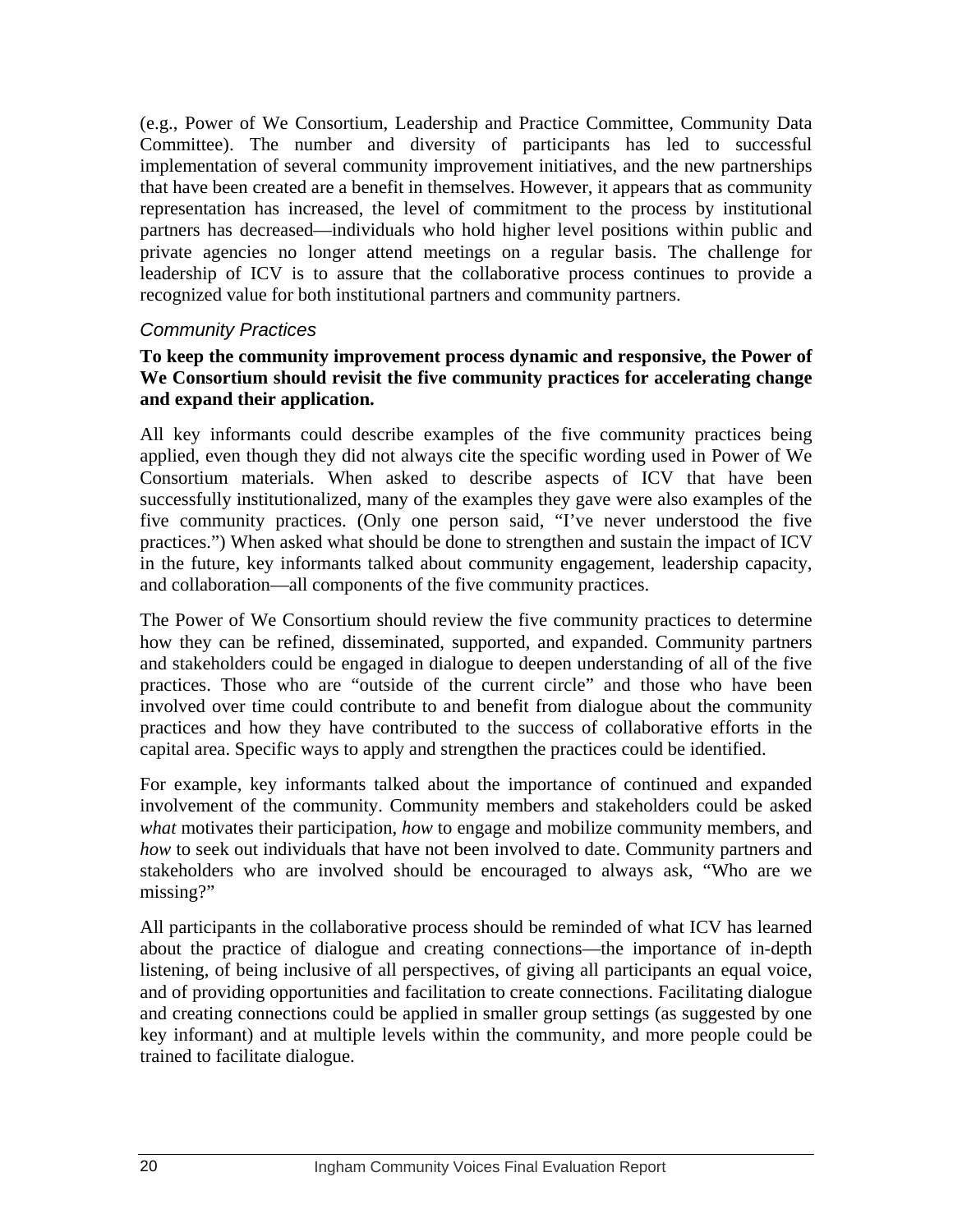(e.g., Power of We Consortium, Leadership and Practice Committee, Community Data Committee). The number and diversity of participants has led to successful implementation of several community improvement initiatives, and the new partnerships that have been created are a benefit in themselves. However, it appears that as community representation has increased, the level of commitment to the process by institutional partners has decreased—individuals who hold higher level positions within public and private agencies no longer attend meetings on a regular basis. The challenge for leadership of ICV is to assure that the collaborative process continues to provide a recognized value for both institutional partners and community partners.

#### *Community Practices*

#### **To keep the community improvement process dynamic and responsive, the Power of We Consortium should revisit the five community practices for accelerating change and expand their application.**

All key informants could describe examples of the five community practices being applied, even though they did not always cite the specific wording used in Power of We Consortium materials. When asked to describe aspects of ICV that have been successfully institutionalized, many of the examples they gave were also examples of the five community practices. (Only one person said, "I've never understood the five practices.") When asked what should be done to strengthen and sustain the impact of ICV in the future, key informants talked about community engagement, leadership capacity, and collaboration—all components of the five community practices.

The Power of We Consortium should review the five community practices to determine how they can be refined, disseminated, supported, and expanded. Community partners and stakeholders could be engaged in dialogue to deepen understanding of all of the five practices. Those who are "outside of the current circle" and those who have been involved over time could contribute to and benefit from dialogue about the community practices and how they have contributed to the success of collaborative efforts in the capital area. Specific ways to apply and strengthen the practices could be identified.

For example, key informants talked about the importance of continued and expanded involvement of the community. Community members and stakeholders could be asked *what* motivates their participation, *how* to engage and mobilize community members, and *how* to seek out individuals that have not been involved to date. Community partners and stakeholders who are involved should be encouraged to always ask, "Who are we missing?"

All participants in the collaborative process should be reminded of what ICV has learned about the practice of dialogue and creating connections—the importance of in-depth listening, of being inclusive of all perspectives, of giving all participants an equal voice, and of providing opportunities and facilitation to create connections. Facilitating dialogue and creating connections could be applied in smaller group settings (as suggested by one key informant) and at multiple levels within the community, and more people could be trained to facilitate dialogue.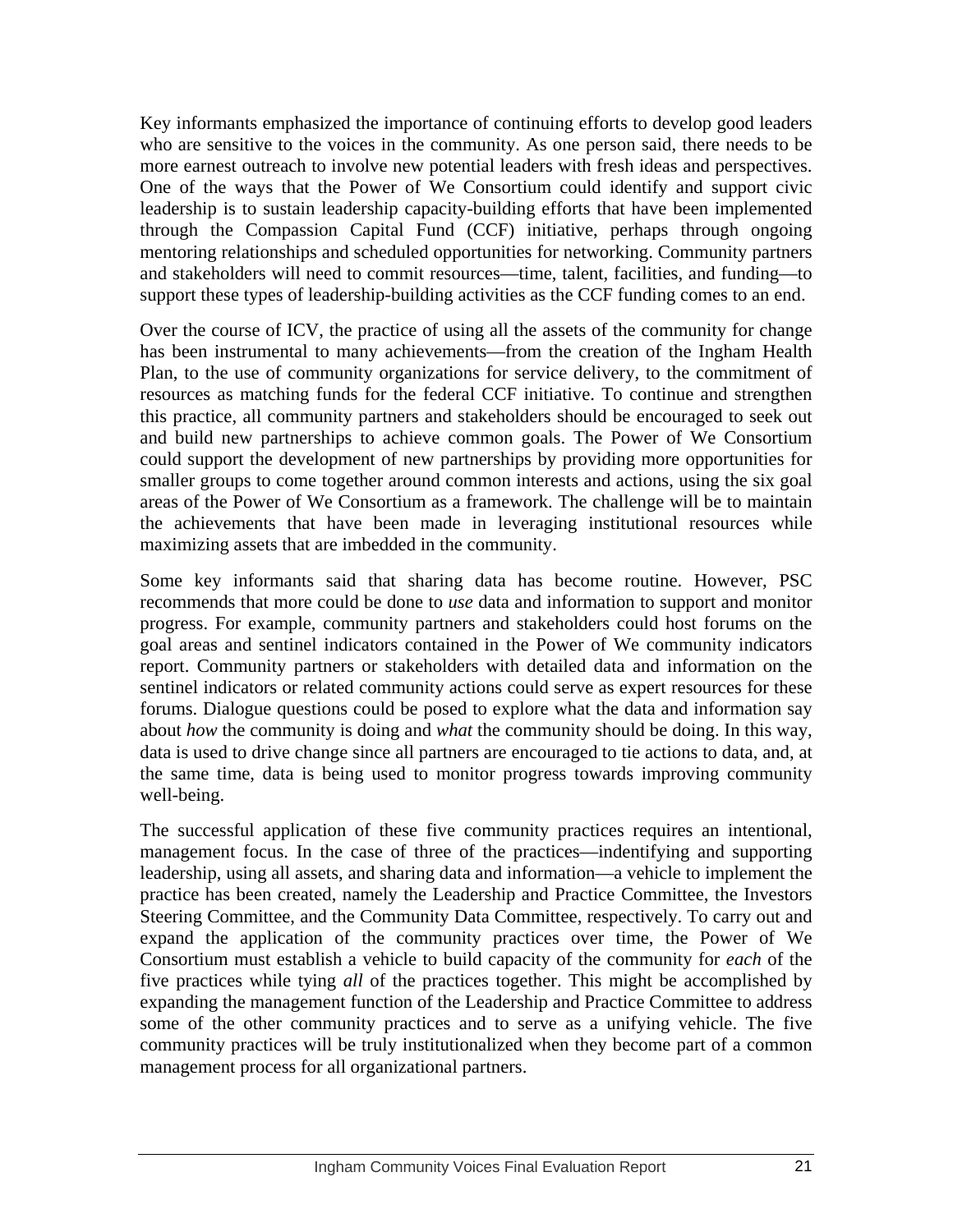Key informants emphasized the importance of continuing efforts to develop good leaders who are sensitive to the voices in the community. As one person said, there needs to be more earnest outreach to involve new potential leaders with fresh ideas and perspectives. One of the ways that the Power of We Consortium could identify and support civic leadership is to sustain leadership capacity-building efforts that have been implemented through the Compassion Capital Fund (CCF) initiative, perhaps through ongoing mentoring relationships and scheduled opportunities for networking. Community partners and stakeholders will need to commit resources—time, talent, facilities, and funding—to support these types of leadership-building activities as the CCF funding comes to an end.

Over the course of ICV, the practice of using all the assets of the community for change has been instrumental to many achievements—from the creation of the Ingham Health Plan, to the use of community organizations for service delivery, to the commitment of resources as matching funds for the federal CCF initiative. To continue and strengthen this practice, all community partners and stakeholders should be encouraged to seek out and build new partnerships to achieve common goals. The Power of We Consortium could support the development of new partnerships by providing more opportunities for smaller groups to come together around common interests and actions, using the six goal areas of the Power of We Consortium as a framework. The challenge will be to maintain the achievements that have been made in leveraging institutional resources while maximizing assets that are imbedded in the community.

Some key informants said that sharing data has become routine. However, PSC recommends that more could be done to *use* data and information to support and monitor progress. For example, community partners and stakeholders could host forums on the goal areas and sentinel indicators contained in the Power of We community indicators report. Community partners or stakeholders with detailed data and information on the sentinel indicators or related community actions could serve as expert resources for these forums. Dialogue questions could be posed to explore what the data and information say about *how* the community is doing and *what* the community should be doing. In this way, data is used to drive change since all partners are encouraged to tie actions to data, and, at the same time, data is being used to monitor progress towards improving community well-being.

The successful application of these five community practices requires an intentional, management focus. In the case of three of the practices—indentifying and supporting leadership, using all assets, and sharing data and information—a vehicle to implement the practice has been created, namely the Leadership and Practice Committee, the Investors Steering Committee, and the Community Data Committee, respectively. To carry out and expand the application of the community practices over time, the Power of We Consortium must establish a vehicle to build capacity of the community for *each* of the five practices while tying *all* of the practices together. This might be accomplished by expanding the management function of the Leadership and Practice Committee to address some of the other community practices and to serve as a unifying vehicle. The five community practices will be truly institutionalized when they become part of a common management process for all organizational partners.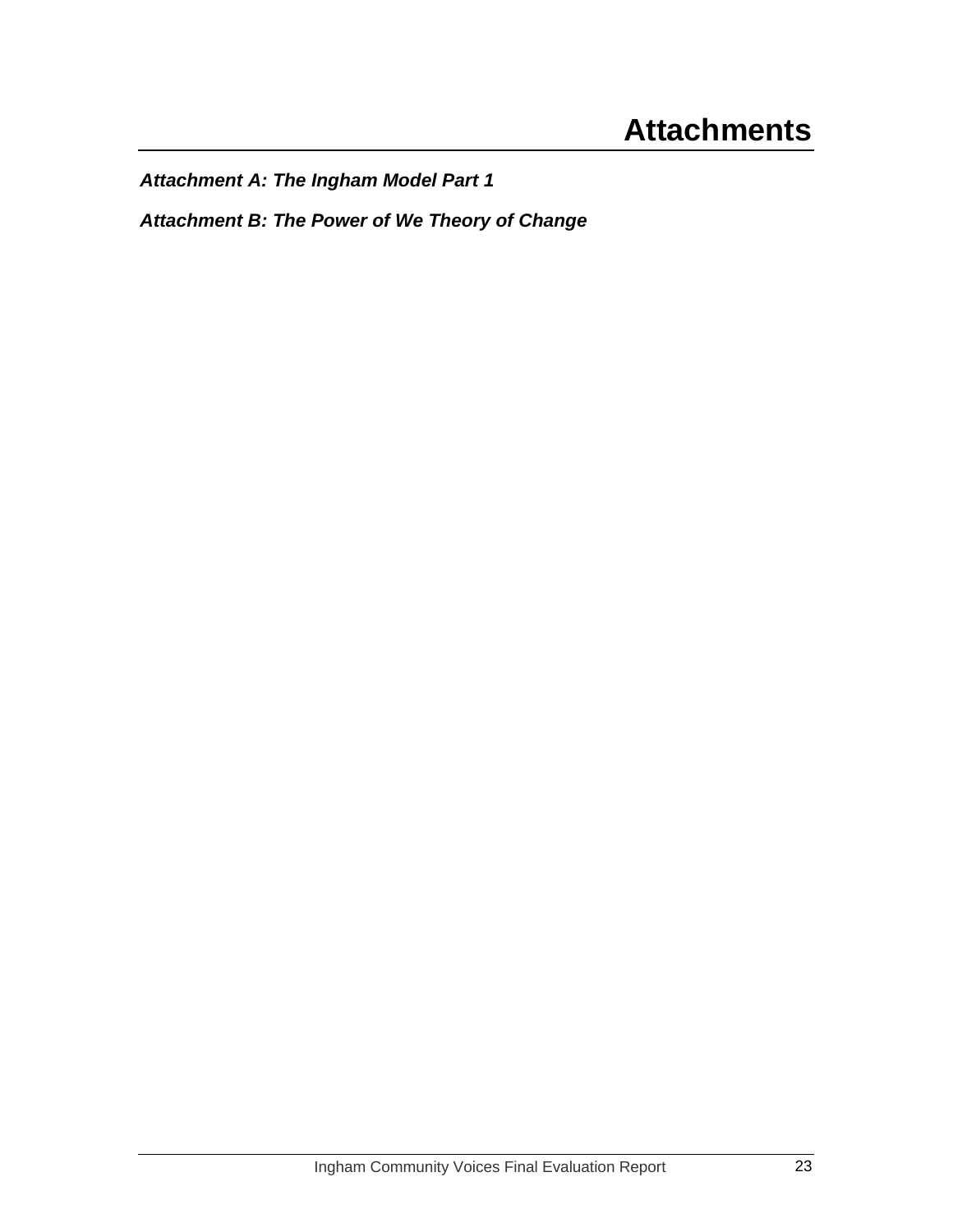<span id="page-26-0"></span>*Attachment A: The Ingham Model Part 1* 

*Attachment B: The Power of We Theory of Change*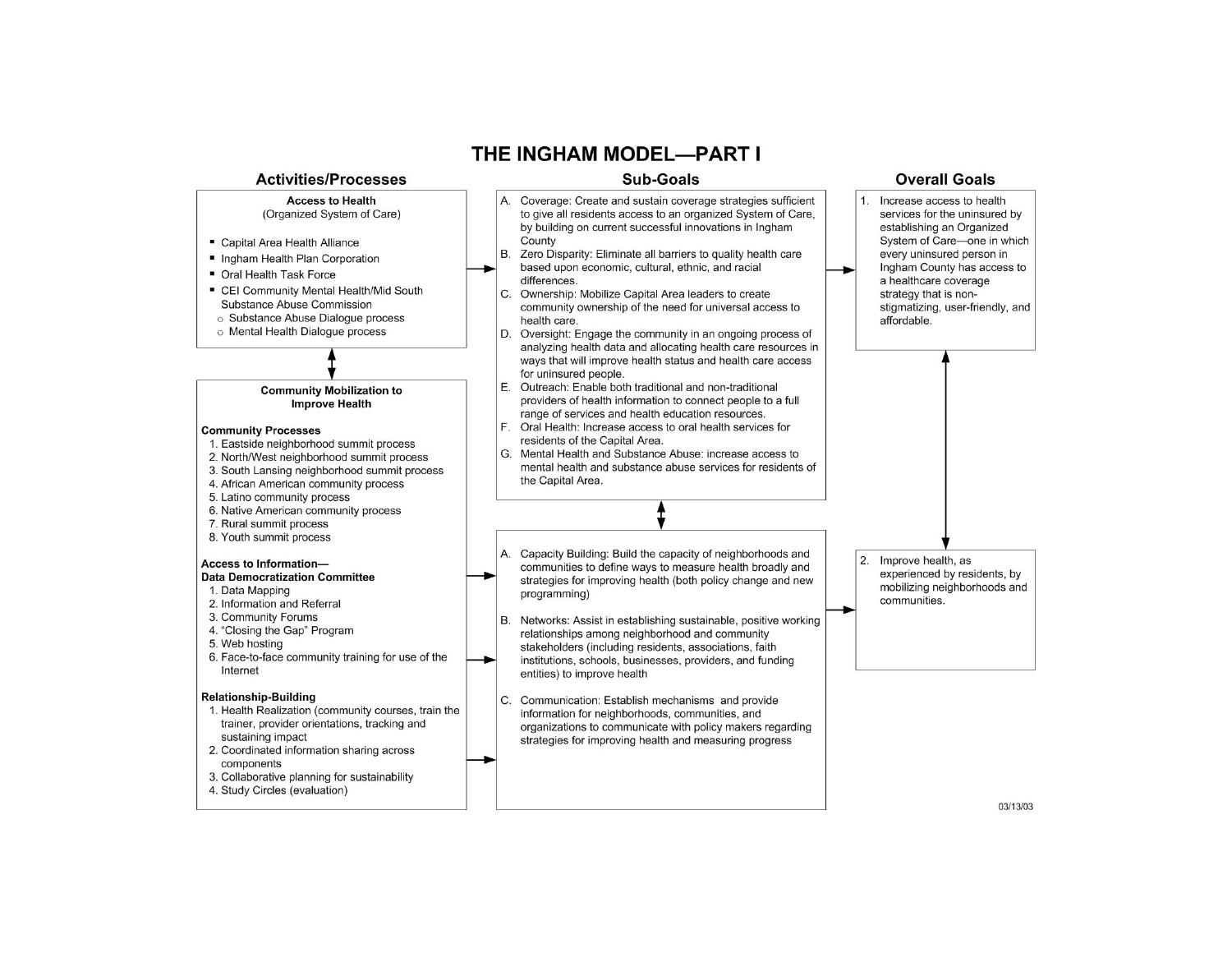